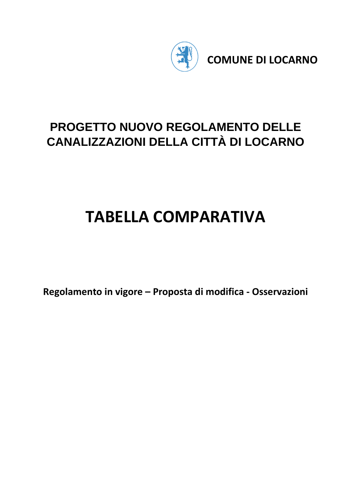

**COMUNE DI LOCARNO** 

# **PROGETTO NUOVO REGOLAMENTO DELLE CANALIZZAZIONI DELLA CITTÀ DI LOCARNO**

# **TABELLA COMPARATIVA**

**Regolamento in vigore – Proposta di modifica - Osservazioni**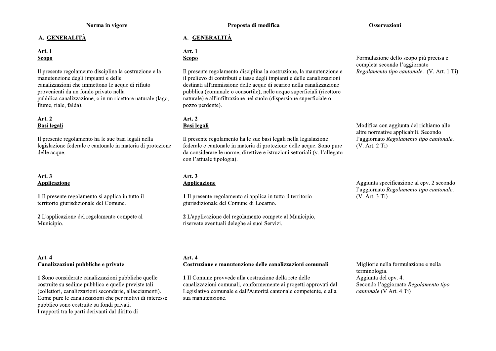# A. GENERALITÀ

# **Art. 1 Scopo**

Il presente regolamento disciplina la costruzione e la manutenzione degli impianti e delle canalizzazioni che immettono le acque di rifiuto provenienti da un fondo privato nella pubblica canalizzazione, o in un ricettore naturale (lago, fiume, riale, falda).

# **Art. 2 Basi** legali

Il presente regolamento ha le sue basi legali nella legislazione federale e cantonale in materia di protezione delle acque.

# Art.  $3$ **Applicazione**

1 Il presente regolamento si applica in tutto il territorio giurisdizionale del Comune.

2 L'applicazione del regolamento compete al Municipio.

Proposta di modifica

# A. GENERALITÀ

# **Art. 1**

# **Scopo**

Il presente regolamento disciplina la costruzione, la manutenzione e il prelievo di contributi e tasse degli impianti e delle canalizzazioni destinati all'immissione delle acque di scarico nella canalizzazione pubblica (comunale o consortile), nelle acque superficiali (ricettore naturale) e all'infiltrazione nel suolo (dispersione superficiale o pozzo perdente).

# Art. 2 **Basi** legali

Il presente regolamento ha le sue basi legali nella legislazione federale e cantonale in materia di protezione delle acque. Sono pure da considerare le norme, direttive e istruzioni settoriali (v. l'allegato con l'attuale tipologia).

#### Art. 3 **Applicazione**

1 Il presente regolamento si applica in tutto il territorio giurisdizionale del Comune di Locarno.

2 L'applicazione del regolamento compete al Municipio, riservate eventuali deleghe ai suoi Servizi.

Formulazione dello scopo più precisa e completa secondo l'aggiornato Regolamento tipo cantonale. (V. Art. 1 Ti)

Modifica con aggiunta del richiamo alle altre normative applicabili. Secondo l'aggiornato Regolamento tipo cantonale.  $(V. Art. 2 Ti)$ 

Aggiunta specificazione al cpv. 2 secondo l'aggiornato Regolamento tipo cantonale. (V. Art. 3 Ti)

#### Art. 4 Canalizzazioni pubbliche e private

1 Sono considerate canalizzazioni pubbliche quelle costruite su sedime pubblico e quelle previste tali (collettori, canalizzazioni secondarie, allacciamenti). Come pure le canalizzazioni che per motivi di interesse pubblico sono costruite su fondi privati. I rapporti tra le parti derivanti dal diritto di

# Art. 4

# Costruzione e manutenzione delle canalizzazioni comunali

1 Il Comune provvede alla costruzione della rete delle canalizzazioni comunali, conformemente ai progetti approvati dal Legislativo comunale e dall'Autorità cantonale competente, e alla sua manutenzione.

Migliorie nella formulazione e nella terminologia. Aggiunta del cpv. 4. Secondo l'aggiornato Regolamento tipo cantonale (V Art. 4 Ti)

# Osservazioni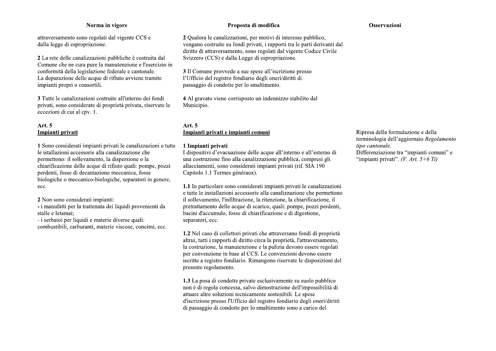attraversamento sono regolati dal vigente CCS e dalla legge di espropriazione.

2 La rete delle canalizzazioni pubbliche è costruita dal Comune che ne cura pure la manutenzione e l'esercizio in conformità della legislazione federale e cantonale. La depurazione delle acque di rifiuto avviene tramite impianti propri o consortili.

3 Tutte le canalizzazioni costruite all'interno dei fondi privati, sono considerate di proprietà privata, riservate le eccezioni di cui al cpv. 1.

# Art. 5 Impianti privati

1 Sono considerati impianti privati le canalizzazioni e tutte le istallazioni accessorie alla canalizzazione che permettono: il sollevamento, la dispersione o la chiarificazione delle acque di rifiuto quali: pompe, pozzi perdenti, fosse di decantazione meccanica, fosse biologiche o meccanico-biologiche, separatori in genere, ecc.

2 Non sono considerati impianti:

- i manufatti per la trattenuta dei liquidi provenienti da stalle e letamai:

- i serbatoi per liquidi e materie diverse quali:

combustibili, carburanti, materie viscose, concimi, ecc.

#### Proposta di modifica

2 Qualora le canalizzazioni, per motivi di interesse pubblico, vengano costruite su fondi privati, i rapporti tra le parti derivanti dal diritto di attraversamento, sono regolati dal vigente Codice Civile Svizzero (CCS) e dalla Legge di espropriazione.

3 Il Comune provvede a sue spese all'iscrizione presso l'Ufficio del registro fondiario degli oneri/diritti di passaggio di condotte per lo smaltimento.

4 Al gravato viene corrisposto un indennizzo stabilito dal Municipio.

# Art.  $5$ Impianti privati e impianti comuni

#### 1 Impianti privati

I dispositivi d'evacuazione delle acque all'interno e all'esterno di una costruzione fino alla canalizzazione pubblica, compresi gli allacciamenti, sono considerati impianti privati (rif. SIA 190 Capitolo 1.1 Termes généraux).

1.1 In particolare sono considerati impianti privati le canalizzazioni e tutte le installazioni accessorie alla canalizzazione che permettono il sollevamento, l'infiltrazione, la ritenzione, la chiarificazione, il pretrattamento delle acque di scarico, quali: pompe, pozzi perdenti, bacini d'accumulo, fosse di chiarificazione e di digestione, separatori, ecc.

1.2 Nel caso di collettori privati che attraversano fondi di proprietà altrui, tutti i rapporti di diritto circa la proprietà, l'attraversamento, la costruzione, la manutenzione e la pulizia devono essere regolati per convenzione in base al CCS. Le convenzioni devono essere iscritte a registro fondiario. Rimangono riservate le disposizioni del presente regolamento.

1.3 La posa di condotte private esclusivamente su suolo pubblico non è di regola concessa, salvo dimostrazione dell'impossibilità di attuare altre soluzioni tecnicamente sostenibili. Le spese d'iscrizione presso l'Ufficio del registro fondiario degli oneri/diritti di passaggio di condotte per lo smaltimento sono a carico del

#### Osservazioni

Ripresa della formulazione e della terminologia dell'aggiornato Regolamento tipo cantonale. Differenziazione tra "impianti comuni" e "impianti privati". (V. Art. 5+6 Ti)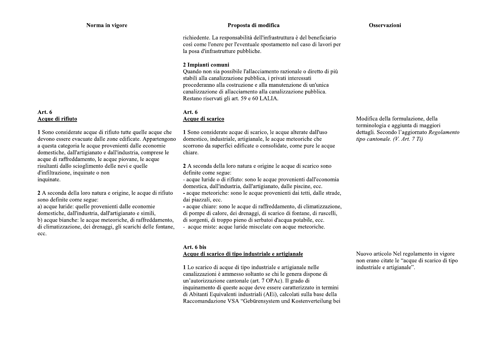# Art. 6 Acque di rifiuto

1 Sono considerate acque di rifiuto tutte quelle acque che devono essere evacuate dalle zone edificate. Appartengono a questa categoria le acque provenienti dalle economie domestiche, dall'artigianato e dall'industria, comprese le acque di raffreddamento, le acque piovane, le acque risultanti dallo scioglimento delle nevi e quelle d'infiltrazione, inquinate o non inquinate.

2 A seconda della loro natura e origine, le acque di rifiuto sono definite come segue:

a) acque luride: quelle provenienti dalle economie domestiche, dall'industria, dall'artigianato e simili, b) acque bianche: le acque meteoriche, di raffreddamento, di climatizzazione, dei drenaggi, gli scarichi delle fontane, ecc.

# Proposta di modifica

#### Osservazioni

richiedente. La responsabilità dell'infrastruttura è del beneficiario così come l'onere per l'eventuale spostamento nel caso di lavori per la posa d'infrastrutture pubbliche.

# 2 Impianti comuni

Quando non sia possibile l'allacciamento razionale o diretto di più stabili alla canalizzazione pubblica, i privati interessati procederanno alla costruzione e alla manutenzione di un'unica canalizzazione di allacciamento alla canalizzazione pubblica. Restano riservati gli art. 59 e 60 LALIA.

#### Art.  $6$ Acque di scarico

1 Sono considerate acque di scarico, le acque alterate dall'uso domestico, industriale, artigianale, le acque meteoriche che scorrono da superfici edificate o consolidate, come pure le acque chiare.

2 A seconda della loro natura e origine le acque di scarico sono definite come segue:

- acque luride o di rifiuto: sono le acque provenienti dall'economia domestica, dall'industria, dall'artigianato, dalle piscine, ecc.

- acque meteoriche: sono le acque provenienti dai tetti, dalle strade, dai piazzali, ecc.

- acque chiare: sono le acque di raffreddamento, di climatizzazione, di pompe di calore, dei drenaggi, di scarico di fontane, di ruscelli, di sorgenti, di troppo pieno di serbatoi d'acqua potabile, ecc. - acque miste: acque luride miscelate con acque meteoriche.

#### Art. 6 bis

#### Acque di scarico di tipo industriale e artigianale

1 Lo scarico di acque di tipo industriale e artigianale nelle canalizzazioni è ammesso soltanto se chi le genera dispone di un'autorizzazione cantonale (art. 7 OPAc). Il grado di inquinamento di queste acque deve essere caratterizzato in termini di Abitanti Equivalenti industriali (AEi), calcolati sulla base della Raccomandazione VSA "Gebürensystem und Kostenverteilung bei Modifica della formulazione, della terminologia e aggiunta di maggiori dettagli. Secondo l'aggiornato Regolamento tipo cantonale. (V. Art. 7 Ti)

Nuovo articolo Nel regolamento in vigore non erano citate le "acque di scarico di tipo industriale e artigianale".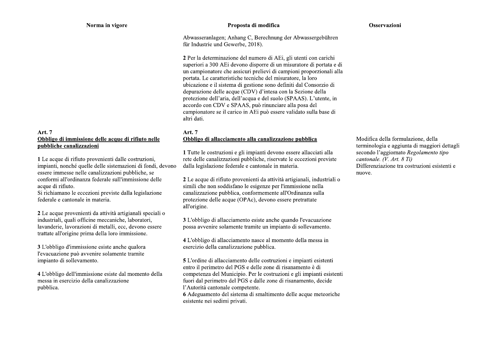#### Art. 7 Obbligo di immissione delle acque di rifiuto nelle pubbliche canalizzazioni

1 Le acque di rifiuto provenienti dalle costruzioni, impianti, nonché quelle delle sistemazioni di fondi, devono essere immesse nelle canalizzazioni pubbliche, se conformi all'ordinanza federale sull'immissione delle acque di rifiuto.

Si richiamano le eccezioni previste dalla legislazione federale e cantonale in materia.

2 Le acque provenienti da attività artigianali speciali o industriali, quali officine meccaniche, laboratori, lavanderie, lavorazioni di metalli, ecc, devono essere trattate all'origine prima della loro immissione.

3 L'obbligo d'immissione esiste anche qualora l'evacuazione può avvenire solamente tramite impianto di sollevamento.

4 L'obbligo dell'immissione esiste dal momento della messa in esercizio della canalizzazione pubblica.

#### Proposta di modifica

Osservazioni

Abwasseranlagen; Anhang C, Berechnung der Abwassergebühren für Industrie und Gewerbe, 2018).

2 Per la determinazione del numero di AEi, gli utenti con carichi superiori a 300 AE idevono disporre di un misuratore di portata e di un campionatore che assicuri prelievi di campioni proporzionali alla portata. Le caratteristiche tecniche del misuratore, la loro ubicazione e il sistema di gestione sono definiti dal Consorzio di depurazione delle acque (CDV) d'intesa con la Sezione della protezione dell'aria, dell'acqua e del suolo (SPAAS). L'utente, in accordo con CDV e SPAAS, può rinunciare alla posa del campionatore se il carico in AEi può essere validato sulla base di altri dati.

#### Art. 7 Obbligo di allacciamento alla canalizzazione pubblica

1 Tutte le costruzioni e gli impianti devono essere allacciati alla rete delle canalizzazioni pubbliche, riservate le eccezioni previste dalla legislazione federale e cantonale in materia.

2 Le acque di rifiuto provenienti da attività artigianali, industriali o simili che non soddisfano le esigenze per l'immissione nella canalizzazione pubblica, conformemente all'Ordinanza sulla protezione delle acque (OPAc), devono essere pretrattate all'origine.

3 L'obbligo di allacciamento esiste anche quando l'evacuazione possa avvenire solamente tramite un impianto di sollevamento.

4 L'obbligo di allacciamento nasce al momento della messa in esercizio della canalizzazione pubblica.

5 L'ordine di allacciamento delle costruzioni e impianti esistenti entro il perimetro del PGS e delle zone di risanamento è di competenza del Municipio. Per le costruzioni e gli impianti esistenti fuori dal perimetro del PGS e dalle zone di risanamento, decide l'Autorità cantonale competente.

6 Adeguamento del sistema di smaltimento delle acque meteoriche esistente nei sedimi privati.

Modifica della formulazione, della terminologia e aggiunta di maggiori dettagli secondo l'aggiornato Regolamento tipo cantonale. (V. Art. 8 Ti) Differenziazione tra costruzioni esistenti e nuove.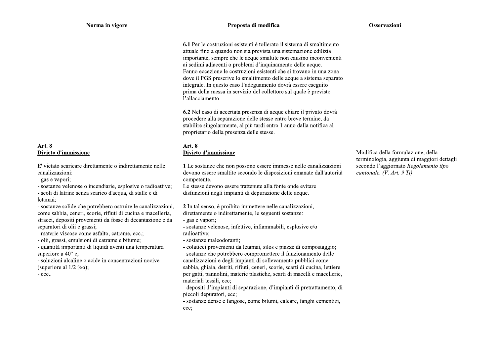#### Proposta di modifica

6.1 Per le costruzioni esistenti è tollerato il sistema di smaltimento attuale fino a quando non sia prevista una sistemazione edilizia importante, sempre che le acque smaltite non causino inconvenienti ai sedimi adiacenti o problemi d'inquinamento delle acque. Fanno eccezione le costruzioni esistenti che si trovano in una zona dove il PGS prescrive lo smaltimento delle acque a sistema separato integrale. In questo caso l'adeguamento dovrà essere eseguito prima della messa in servizio del collettore sul quale è previsto l'allacciamento.

6.2 Nel caso di accertata presenza di acque chiare il privato dovrà procedere alla separazione delle stesse entro breve termine, da stabilire singolarmente, al più tardi entro 1 anno dalla notifica al proprietario della presenza delle stesse.

#### **Art. 8** Divieto d'immissione

1 Le sostanze che non possono essere immesse nelle canalizzazioni devono essere smaltite secondo le disposizioni emanate dall'autorità competente.

Le stesse devono essere trattenute alla fonte onde evitare disfunzioni negli impianti di depurazione delle acque.

2 In tal senso, è proibito immettere nelle canalizzazioni, direttamente o indirettamente, le seguenti sostanze:

- gas e vapori:

- sostanze velenose, infettive, infiammabili, esplosive e/o radioattive;

- sostanze maleodoranti;

- colaticci provenienti da letamai, silos e piazze di compostaggio;

- sostanze che potrebbero compromettere il funzionamento delle canalizzazioni e degli impianti di sollevamento pubblici come sabbia, ghiaia, detriti, rifiuti, ceneri, scorie, scarti di cucina, lettiere per gatti, pannolini, materie plastiche, scarti di macelli e macellerie, materiali tessili, ecc:

- depositi d'impianti di separazione, d'impianti di pretrattamento, di piccoli depuratori, ecc:

- sostanze dense e fangose, come bitumi, calcare, fanghi cementizi, ecc;

Modifica della formulazione, della terminologia, aggiunta di maggiori dettagli secondo l'aggiornato Regolamento tipo cantonale. (V. Art. 9 Ti)

**Art. 8** Divieto d'immissione

E' vietato scaricare direttamente o indirettamente nelle canalizzazioni:

- gas e vapori;

- sostanze velenose o incendiarie, esplosive o radioattive;

- scoli di latrine senza scarico d'acqua, di stalle e di letamai:

- sostanze solide che potrebbero ostruire le canalizzazioni, come sabbia, ceneri, scorie, rifiuti di cucina e macelleria, stracci, depositi provenienti da fosse di decantazione e da separatori di olii e grassi;

- materie viscose come asfalto, catrame, ecc.;

- olii, grassi, emulsioni di catrame e bitume;

- quantità importanti di liquidi aventi una temperatura superiore a  $40^{\circ}$  c:

- soluzioni alcaline o acide in concentrazioni nocive (superiore al  $1/2 \%$ o);

- ecc..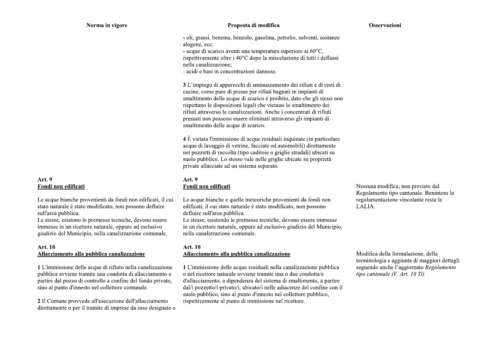#### Proposta di modifica

#### Osservazioni

- oli, grassi, benzina, benzolo, gasolina, petrolio, solventi, sostanze alogene, ecc:

- acque di scarico aventi una temperatura superiore ai  $60^{\circ}$ C,

rispettivamente oltre i 40°C dopo la miscelazione di tutti i deflussi nella canalizzazione:

- acidi e basi in concentrazioni dannose.

3 L'impiego di apparecchi di sminuzzamento dei rifiuti e di resti di cucine, come pure di presse per rifiuti bagnati in impianti di smaltimento delle acque di scarico è proibito, dato che gli stessi non rispettano le disposizioni legali che vietano lo smaltimento dei rifiuti attraverso le canalizzazioni. Anche i concentrati di rifiuti pressati non possono essere eliminati attraverso gli impianti di smaltimento delle acque di scarico.

4 È vietata l'immissione di acque residuali inquinate (in particolare) acque di lavaggio di vetrine, facciate ed automobili) direttamente nei pozzetti di raccolta (tipo caditoie o griglie stradali) ubicati su suolo pubblico. Lo stesso vale nelle griglie ubicate su proprietà private allacciate ad un sistema separato.

# Art. 9 Fondi non edificati

Le acque bianche e quelle meteoriche provenienti da fondi non edificati, il cui stato naturale è stato modificato, non possono defluire sull'area pubblica.

Le stesse, esistendo le premesse tecniche, devono essere immesse in un ricettore naturale, oppure ad esclusivo giudizio del Municipio, nella canalizzazione comunale.

# Art. 10 Allacciamento alla pubblica canalizzazione

1 L'immissione delle acque residuali nella canalizzazione pubblica o nel ricettore naturale avviene tramite una o due condotta/e d'allacciamento, a dipendenza del sistema di smaltimento, a partire dal/i pozzetto/i privato/i, ubicato/i nelle adiacenze del confine con il suolo pubblico, sino al punto d'innesto nel collettore pubblico. rispettivamente al punto di immissione nel ricettore.

Nessuna modifica; non previsto dal Regolamento tipo cantonale. Beninteso la regolamentazione vincolante resta la LALIA.

Modifica della formulazione, della terminologia e aggiunta di maggiori dettagli seguendo anche l'aggiornato Regolamento tipo cantonale (V. Art. 10 Ti)

# Art. 9 Fondi non edificati

Le acque bianche provenienti da fondi non edificati, il cui stato naturale è stato modificato, non possono defluire sull'area pubblica.

Le stesse, esistono le premesse tecniche, devono essere immesse in un ricettore naturale, oppure ad esclusivo giudizio del Municipio, nella canalizzazione comunale.

#### **Art. 10** Allacciamento alla pubblica canalizzazione

1 L'immissione delle acque di rifiuto nella canalizzazione pubblica avviene tramite una condotta di allacciamento a partire dal pozzo di controllo a confine del fondo privato, sino al punto d'innesto nel collettore comunale.

2 Il Comune provvede all'esecuzione dell'allacciamento direttamente o per il tramite di imprese da esso designate o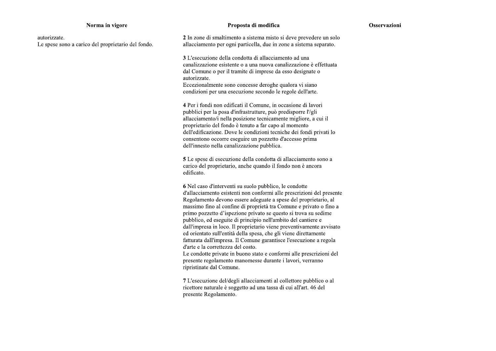#### Proposta di modifica

#### Osservazioni

autorizzate. Le spese sono a carico del proprietario del fondo. 2 In zone di smaltimento a sistema misto si deve prevedere un solo allacciamento per ogni particella, due in zone a sistema separato.

3 L'esecuzione della condotta di allacciamento ad una canalizzazione esistente o a una nuova canalizzazione è effettuata dal Comune o per il tramite di imprese da esso designate o autorizzate.

Eccezionalmente sono concesse deroghe qualora vi siano condizioni per una esecuzione secondo le regole dell'arte.

4 Per i fondi non edificati il Comune, in occasione di lavori pubblici per la posa d'infrastrutture, può predisporre l'/gli allacciamento/i nella posizione tecnicamente migliore, a cui il proprietario del fondo è tenuto a far capo al momento dell'edificazione. Dove le condizioni tecniche dei fondi privati lo consentono occorre eseguire un pozzetto d'accesso prima dell'innesto nella canalizzazione pubblica.

5 Le spese di esecuzione della condotta di allacciamento sono a carico del proprietario, anche quando il fondo non è ancora edificato.

6 Nel caso d'interventi su suolo pubblico, le condotte d'allacciamento esistenti non conformi alle prescrizioni del presente Regolamento devono essere adeguate a spese del proprietario, al massimo fino al confine di proprietà tra Comune e privato o fino a primo pozzetto d'ispezione privato se questo si trova su sedime pubblico, ed eseguite di principio nell'ambito del cantiere e dall'impresa in loco. Il proprietario viene preventivamente avvisato ed orientato sull'entità della spesa, che gli viene direttamente fatturata dall'impresa. Il Comune garantisce l'esecuzione a regola d'arte e la correttezza del costo. Le condotte private in buono stato e conformi alle prescrizioni del presente regolamento manomesse durante i lavori, verranno

ripristinate dal Comune.

7 L'esecuzione del/degli allacciamenti al collettore pubblico o al ricettore naturale è soggetto ad una tassa di cui all'art. 46 del presente Regolamento.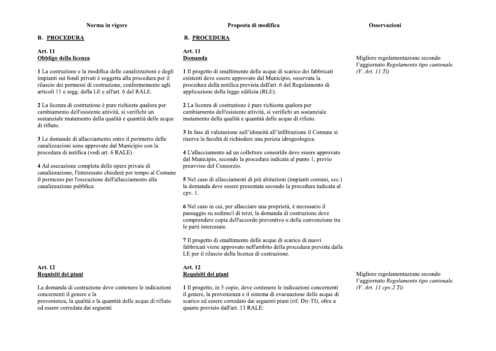# **B. PROCEDURA**

# Art. 11 Obbligo della licenza

1 La costruzione e la modifica delle canalizzazioni e degli impianti sui fondi privati è soggetta alla procedura per il rilascio dei permessi di costruzione, conformemente agli articoli 11 e segg. della LE e all'art. 6 del RALE.

2 La licenza di costruzione è pure richiesta qualora per cambiamento dell'esistente attività, si verifichi un sostanziale mutamento della qualità e quantità delle acque di rifiuto.

3 Le domande di allacciamento entro il perimetro delle canalizzazioni sono approvate dal Municipio con la procedura di notifica (vedi art. 6 RALE).

4 Ad esecuzione completa delle opere private di canalizzazione, l'interessato chiederà per tempo al Comune il permesso per l'esecuzione dell'allacciamento alla canalizzazione pubblica

# Art. 12 Requisiti dei piani

La domanda di costruzione deve contenere le indicazioni concernenti il genere e la provenienza, la qualità e la quantità delle acque di rifiuto ed essere corredata dai seguenti

# **B. PROCEDURA**

#### Art. 11 Domanda

1 Il progetto di smaltimento delle acque di scarico dei fabbricati esistenti deve essere approvato dal Municipio, osservata la procedura della notifica prevista dall'art. 6 del Regolamento di applicazione della legge edilizia (RLE).

2 La licenza di costruzione è pure richiesta qualora per cambiamento dell'esistente attività, si verifichi un sostanziale mutamento della qualità e quantità delle acque di rifiuto.

3 In fase di valutazione sull'idoneità all'infiltrazione il Comune si riserva la facoltà di richiedere una perizia idrogeologica.

4 L'allacciamento ad un collettore consortile deve essere approvato dal Municipio, secondo la procedura indicata al punto 1, previo preavviso del Consorzio.

5 Nel caso di allacciamenti di più abitazioni (impianti comuni, ecc.) la domanda deve essere presentata secondo la procedura indicata al  $c$  pv.  $1$ .

6 Nel caso in cui, per allacciare una proprietà, è necessario il passaggio su sedime/i di terzi, la domanda di costruzione deve comprendere copia dell'accordo preventivo o della convenzione tra le parti interessate.

7 Il progetto di smaltimento delle acque di scarico di nuovi fabbricati viene approvato nell'ambito della procedura prevista dalla LE per il rilascio della licenza di costruzione.

# Art. 12 Requisiti dei piani

1 Il progetto, in 3 copie, deve contenere le indicazioni concernenti il genere, la provenienza e il sistema di evacuazione delle acque di scarico ed essere corredato dai seguenti piani (rif. Dir-TI), oltre a quanto previsto dall'art. 13 RALE:

Migliore regolamentazione secondo l'aggiornato Regolamento tipo cantonale.  $(V. Art. II cov. 2 Ti)$ 

# Migliore regolamentazione secondo l'aggiornato Regolamento tipo cantonale.  $(V. Art. II Ti)$

#### Osservazioni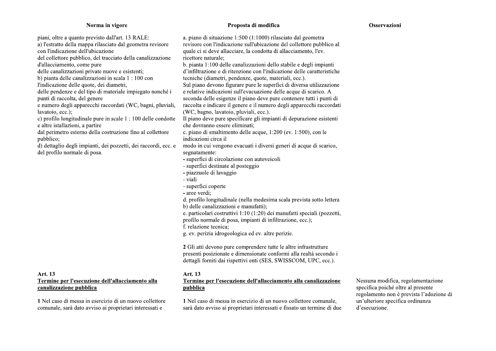pubblico:

Art. 13

canalizzazione pubblica

1 Nel caso di messa in esercizio di un nuovo collettore comunale, sarà dato avviso ai proprietari interessati e

#### Proposta di modifica

piani, oltre a quanto previsto dall'art. 13 RALE: a. piano di situazione 1:500 (1:1000) rilasciato dal geometra a) l'estratto della mappa rilasciato dal geometra revisore revisore con l'indicazione sull'ubicazione del collettore pubblico al con l'indicazione dell'ubicazione quale ci si deve allacciare, la condotta di allacciamento, l'ev. del collettore pubblico, del tracciato della canalizzazione ricettore naturale: d'allacciamento, come pure b. pianta 1:100 delle canalizzazioni dello stabile e degli impianti delle canalizzazioni private nuove e esistenti: d'infiltrazione e di ritenzione con l'indicazione delle caratteristiche b) pianta delle canalizzazioni in scala 1 : 100 con tecniche (diametri, pendenze, quote, materiali, ecc.). l'indicazione delle quote, dei diametri, Sul piano devono figurare pure le superfici di diversa utilizzazione delle pendenze e del tipo di materiale impiegato nonché i e relative indicazioni sull'evacuazione delle acque di scarico. A punti di raccolta, del genere seconda delle esigenze il piano deve pure contenere tutti i punti di e numero degli apparecchi raccordati (WC, bagni, pluviali, raccolta e indicare il genere e il numero degli apparecchi raccordati (WC, bagno, lavatoio, pluviali, ecc.). lavatoio, ecc.); Il piano deve pure specificare gli impianti di depurazione esistenti c) profilo longitudinale pure in scale  $1:100$  delle condotte che dovranno essere eliminati; e altre istallazioni, a partire dal perimetro esterno della costruzione fino al collettore c. piano di smaltimento delle acque, 1:200 (ev. 1:500), con le indicazioni circa il d) dettaglio degli impianti, dei pozzetti, dei raccordi, ecc. e modo in cui vengono evacuati i diversi generi di acque di scarico, del profilo normale di posa. segnatamente: - superfici di circolazione con autoveicoli - superfici destinate al posteggio - piazzuole di lavaggio - viali - superfici coperte - aree verdi: d. profilo longitudinale (nella medesima scala prevista sotto lettera b) delle canalizzazioni e manufatti); e. particolari costruttivi 1:10 (1:20) dei manufatti speciali (pozzetti, profilo normale di posa, impianti di infiltrazione, ecc.); f. relazione tecnica; g. ev. perizia idrogeologica ed ev. altre perizie. 2 Gli atti devono pure comprendere tutte le altre infrastrutture presenti posizionate e dimensionate conformi alla realtà secondo i dettagli forniti dai rispettivi enti (SES, SWISSCOM, UPC, ecc.). Art. 13 Termine per l'esecuzione dell'allacciamento alla

# Termine per l'esecuzione dell'allacciamento alla canalizzazione pubblica

1 Nel caso di messa in esercizio di un nuovo collettore comunale. sarà dato avviso ai proprietari interessati e fissato un termine di due Nessuna modifica, regolamentazione specifica poiché oltre al presente regolamento non è prevista l'adozione di un'ulteriore specifica ordinanza d'esecuzione.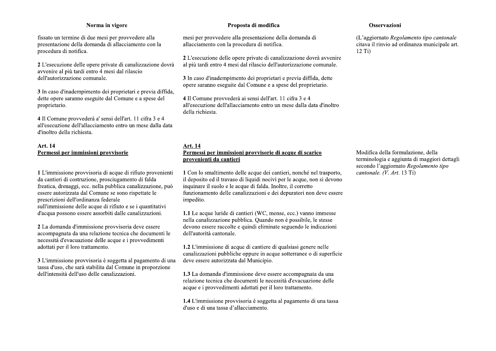fissato un termine di due mesi per provvedere alla presentazione della domanda di allacciamento con la procedura di notifica.

2 L'esecuzione delle opere private di canalizzazione dovrà avvenire al più tardi entro 4 mesi dal rilascio dell'autorizzazione comunale.

3 In caso d'inadempimento dei proprietari e previa diffida, dette opere saranno eseguite dal Comune e a spese del proprietario.

4 Il Comune provvederà a' sensi dell'art. 11 cifra 3 e 4 all'esecuzione dell'allacciamento entro un mese dalla data d'inoltro della richiesta.

# Art. 14 Permessi per immissioni provvisorie

1 L'immissione provvisoria di acque di rifiuto provenienti da cantieri di costruzione, prosciugamento di falda freatica, drenaggi, ecc. nella pubblica canalizzazione, può essere autorizzata dal Comune se sono rispettate le prescrizioni dell'ordinanza federale sull'immissione delle acque di rifiuto e se i quantitativi d'acqua possono essere assorbiti dalle canalizzazioni.

2 La domanda d'immissione provvisoria deve essere accompagnata da una relazione tecnica che documenti le necessità d'evacuazione delle acque e i provvedimenti adottati per il loro trattamento.

3 L'immissione provvisoria è soggetta al pagamento di una tassa d'uso, che sarà stabilita dal Comune in proporzione dell'intensità dell'uso delle canalizzazioni.

# Proposta di modifica

mesi per provvedere alla presentazione della domanda di allacciamento con la procedura di notifica.

2 L'esecuzione delle opere private di canalizzazione dovrà avvenire al più tardi entro 4 mesi dal rilascio dell'autorizzazione comunale.

3 In caso d'inadempimento dei proprietari e previa diffida, dette opere saranno eseguite dal Comune e a spese del proprietario.

4 Il Comune provvederà ai sensi dell'art. 11 cifra 3 e 4 all'esecuzione dell'allacciamento entro un mese dalla data d'inoltro della richiesta.

# **Art. 14** Permessi per immissioni provvisorie di acque di scarico provenienti da cantieri

1 Con lo smaltimento delle acque dei cantieri, nonché nel trasporto, il deposito ed il travaso di liquidi nocivi per le acque, non si devono inquinare il suolo e le acque di falda. Inoltre, il corretto funzionamento delle canalizzazioni e dei depuratori non deve essere impedito.

1.1 Le acque luride di cantieri (WC, mense, ecc.) vanno immesse nella canalizzazione pubblica. Quando non è possibile, le stesse devono essere raccolte e quindi eliminate seguendo le indicazioni dell'autorità cantonale.

1.2 L'immissione di acque di cantiere di qualsiasi genere nelle canalizzazioni pubbliche oppure in acque sotterranee o di superficie deve essere autorizzata dal Municipio.

1.3 La domanda d'immissione deve essere accompagnata da una relazione tecnica che documenti le necessità d'evacuazione delle acque e i provvedimenti adottati per il loro trattamento.

1.4 L'immissione provvisoria è soggetta al pagamento di una tassa d'uso e di una tassa d'allacciamento.

#### Osservazioni

(L'aggiornato Regolamento tipo cantonale citava il rinvio ad ordinanza municipale art.  $12$  Ti)

Modifica della formulazione, della terminologia e aggiunta di maggiori dettagli secondo l'aggiornato Regolamento tipo cantonale. (V. Art. 13 Ti)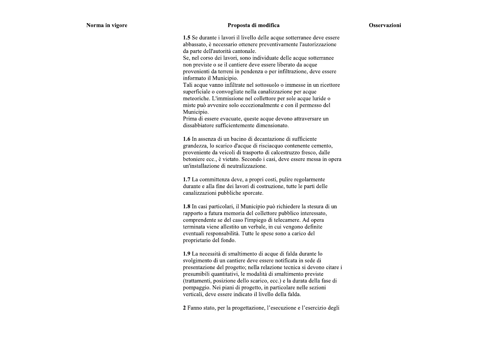#### Proposta di modifica

1.5 Se durante i lavori il livello delle acque sotterranee deve essere abbassato, è necessario ottenere preventivamente l'autorizzazione da parte dell'autorità cantonale.

Se, nel corso dei lavori, sono individuate delle acque sotterranee non previste o se il cantiere deve essere liberato da acque provenienti da terreni in pendenza o per infiltrazione, deve essere informato il Municipio.

Tali acque vanno infiltrate nel sottosuolo o immesse in un ricettore superficiale o convogliate nella canalizzazione per acque meteoriche. L'immissione nel collettore per sole acque luride o miste può avvenire solo eccezionalmente e con il permesso del Municipio.

Prima di essere evacuate, queste acque devono attraversare un dissabbiatore sufficientemente dimensionato.

1.6 In assenza di un bacino di decantazione di sufficiente grandezza, lo scarico d'acque di risciacquo contenente cemento. proveniente da veicoli di trasporto di calcestruzzo fresco, dalle betoniere ecc., è vietato. Secondo i casi, deve essere messa in opera un'installazione di neutralizzazione.

1.7 La committenza deve, a propri costi, pulire regolarmente durante e alla fine dei lavori di costruzione, tutte le parti delle canalizzazioni pubbliche sporcate.

1.8 In casi particolari, il Municipio può richiedere la stesura di un rapporto a futura memoria del collettore pubblico interessato, comprendente se del caso l'impiego di telecamere. Ad opera terminata viene allestito un verbale, in cui vengono definite eventuali responsabilità. Tutte le spese sono a carico del proprietario del fondo.

1.9 La necessità di smaltimento di acque di falda durante lo svolgimento di un cantiere deve essere notificata in sede di presentazione del progetto; nella relazione tecnica si devono citare i presumibili quantitativi, le modalità di smaltimento previste (trattamenti, posizione dello scarico, ecc.) e la durata della fase di pompaggio. Nei piani di progetto, in particolare nelle sezioni verticali, deve essere indicato il livello della falda.

2 Fanno stato, per la progettazione, l'esecuzione e l'esercizio degli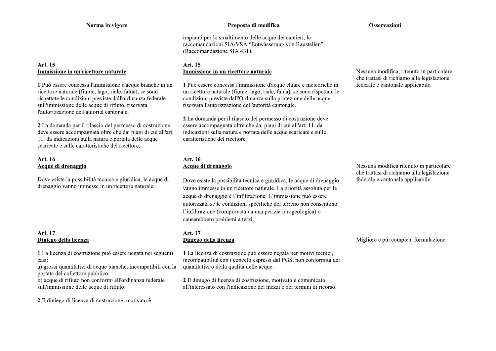# Art. 15 Immissione in un ricettore naturale

1 Può essere concessa l'immissione d'acque bianche in un ricettore naturale (fiume, lago, riale, falda), se sono rispettate le condizioni previste dall'ordinanza federale sull'immissione delle acque di rifiuto, riservata l'autorizzazione dell'autorità cantonale.

2 La domanda per il rilascio del permesso di costruzione deve essere accompagnata oltre che dai piani di cui all'art. 11, da indicazioni sulla natura e portata delle acque scaricate e sulle caratteristiche del ricettore.

# Art. 16 Acque di drenaggio

Dove esiste la possibilità tecnica e giuridica, le acque di drenaggio vanno immesse in un ricettore naturale.

# Art. 17 Diniego della licenza

1 La licenza di costruzione può essere negata nei seguenti casi:

a) grossi quantitativi di acque bianche, incompatibili con la portata del collettore pubblico:

b) acque di rifiuto non conformi all'ordinanza federale sull'immissione delle acque di rifiuto.

2 Il diniego di licenza di costruzione, motivato è

#### Proposta di modifica

impianti per lo smaltimento delle acque dei cantieri, le raccomandazioni SIA/VSA "Entwässerung von Baustellen" (Raccomandazione SIA 431).

# Art. 15 Immissione in un ricettore naturale

1 Può essere concessa l'immissione d'acque chiare e meteoriche in un ricettore naturale (fiume, lago, riale, falda), se sono rispettate le condizioni previste dall'Ordinanza sulla protezione delle acque, riservata l'autorizzazione dell'autorità cantonale.

2 La domanda per il rilascio del permesso di costruzione deve essere accompagnata oltre che dai piani di cui all'art. 11, da indicazioni sulla natura e portata delle acque scaricate e sulle caratteristiche del ricettore.

# Art. 16 Acque di drenaggio

Dove esiste la possibilità tecnica e giuridica, le acque di drenaggio vanno immesse in un ricettore naturale. La priorità assoluta per le acque di drenaggio è l'infiltrazione. L'immissione può essere autorizzata se le condizioni specifiche del terreno non consentono l'infiltrazione (comprovata da una perizia idrogeologica) o causerebbero problemi a terzi.

#### Art. 17 Diniego della licenza

1 La licenza di costruzione può essere negata per motivi tecnici, incompatibilità con i concetti espressi dal PGS, non conformità dei quantitativi o della qualità delle acque.

2 Il diniego di licenza di costruzione, motivato è comunicato all'interessato con l'indicazione dei mezzi e dei termini di ricorso.

#### Osservazioni

Nessuna modifica, ritenuto in particolare che trattasi di richiamo alla legislazione federale e cantonale applicabile.

Nessuna modifica ritenuto in particolare che trattasi di richiamo alla legislazione federale e cantonale applicabile.

Migliore e più completa formulazione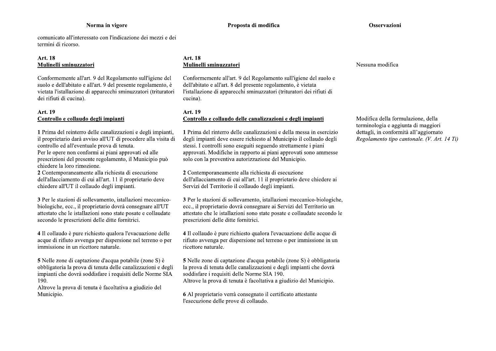comunicato all'interessato con l'indicazione dei mezzi e dei termini di ricorso.

# Art. 18 Mulinelli sminuzzatori

Conformemente all'art. 9 del Regolamento sull'igiene del suolo e dell'abitato e all'art. 9 del presente regolamento, è vietata l'istallazione di apparecchi sminuzzatori (trituratori dei rifiuti di cucina).

# Art. 19 Controllo e collaudo degli impianti

1 Prima del reinterro delle canalizzazioni e degli impianti, il proprietario darà avviso all'UT di procedere alla visita di controllo ed all'eventuale prova di tenuta. Per le opere non conformi ai piani approvati ed alle prescrizioni del presente regolamento, il Municipio può chiedere la loro rimozione.

2 Contemporaneamente alla richiesta di esecuzione dell'allacciamento di cui all'art. 11 il proprietario deve chiedere all'UT il collaudo degli impianti.

3 Per le stazioni di sollevamento, istallazioni meccanicobiologiche, ecc., il proprietario dovrà consegnare all'UT attestato che le istallazioni sono state posate e collaudate secondo le prescrizioni delle ditte fornitrici.

4 Il collaudo è pure richiesto qualora l'evacuazione delle acque di rifiuto avvenga per dispersione nel terreno o per immissione in un ricettore naturale.

5 Nelle zone di captazione d'acqua potabile (zone S) è obbligatoria la prova di tenuta delle canalizzazioni e degli impianti che dovrà soddisfare i requisiti delle Norme SIA 190.

Altrove la prova di tenuta è facoltativa a giudizio del Municipio.

# Art. 18 Mulinelli sminuzzatori

Conformemente all'art. 9 del Regolamento sull'igiene del suolo e dell'abitato e all'art. 8 del presente regolamento, è vietata l'istallazione di apparecchi sminuzzatori (trituratori dei rifiuti di cucina).

# Art. 19 Controllo e collaudo delle canalizzazioni e degli impianti

1 Prima del rinterro delle canalizzazioni e della messa in esercizio degli impianti deve essere richiesto al Municipio il collaudo degli stessi. I controlli sono eseguiti seguendo strettamente i piani approvati. Modifiche in rapporto ai piani approvati sono ammesse solo con la preventiva autorizzazione del Municipio.

2 Contemporaneamente alla richiesta di esecuzione dell'allacciamento di cui all'art. 11 il proprietario deve chiedere ai Servizi del Territorio il collaudo degli impianti.

3 Per le stazioni di sollevamento, istallazioni meccanico-biologiche, ecc., il proprietario dovrà consegnare ai Servizi del Territorio un attestato che le istallazioni sono state posate e collaudate secondo le prescrizioni delle ditte fornitrici.

4 Il collaudo è pure richiesto qualora l'evacuazione delle acque di rifiuto avvenga per dispersione nel terreno o per immissione in un ricettore naturale.

5 Nelle zone di captazione d'acqua potabile (zone S) è obbligatoria la prova di tenuta delle canalizzazioni e degli impianti che dovrà soddisfare i requisiti delle Norme SIA 190. Altrove la prova di tenuta è facoltativa a giudizio del Municipio.

6 Al proprietario verrà consegnato il certificato attestante l'esecuzione delle prove di collaudo.

Nessuna modifica

Modifica della formulazione, della terminologia e aggiunta di maggiori dettagli, in conformità all'aggiornato Regolamento tipo cantonale. (V. Art. 14 Ti)

#### Osservazioni

Proposta di modifica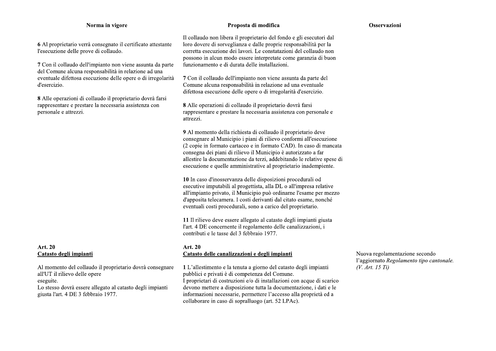6 Al proprietario verrà consegnato il certificato attestante l'esecuzione delle prove di collaudo.

7 Con il collaudo dell'impianto non viene assunta da parte del Comune alcuna responsabilità in relazione ad una eventuale difettosa esecuzione delle opere o di irregolarità d'esercizio.

8 Alle operazioni di collaudo il proprietario dovrà farsi rappresentare e prestare la necessaria assistenza con personale e attrezzi.

# Art. 20 Catasto degli impianti

Al momento del collaudo il proprietario dovrà consegnare all'UT il rilievo delle opere eseguite. Lo stesso dovrà essere allegato al catasto degli impianti giusta l'art. 4 DE 3 febbraio 1977.

#### Proposta di modifica

Osservazioni

Il collaudo non libera il proprietario del fondo e gli esecutori dal loro dovere di sorveglianza e dalle proprie responsabilità per la corretta esecuzione dei lavori. Le constatazioni del collaudo non possono in alcun modo essere interpretate come garanzia di buon funzionamento e di durata delle installazioni.

7 Con il collaudo dell'impianto non viene assunta da parte del Comune alcuna responsabilità in relazione ad una eventuale difettosa esecuzione delle opere o di irregolarità d'esercizio.

8 Alle operazioni di collaudo il proprietario dovrà farsi rappresentare e prestare la necessaria assistenza con personale e attrezzi.

9 Al momento della richiesta di collaudo il proprietario deve consegnare al Municipio i piani di rilievo conformi all'esecuzione (2 copie in formato cartaceo e in formato CAD). In caso di mancata consegna dei piani di rilievo il Municipio è autorizzato a far allestire la documentazione da terzi, addebitando le relative spese di esecuzione e quelle amministrative al proprietario inadempiente.

10 In caso d'inosservanza delle disposizioni procedurali od esecutive imputabili al progettista, alla DL o all'impresa relative all'impianto privato, il Municipio può ordinarne l'esame per mezzo d'apposita telecamera. I costi derivanti dal citato esame, nonché eventuali costi procedurali, sono a carico del proprietario.

11 Il rilievo deve essere allegato al catasto degli impianti giusta l'art. 4 DE concernente il regolamento delle canalizzazioni, i contributi e le tasse del 3 febbraio 1977.

#### Art. 20 Catasto delle canalizzazioni e degli impianti

1 L'allestimento e la tenuta a giorno del catasto degli impianti pubblici e privati è di competenza del Comune. I proprietari di costruzioni e/o di installazioni con acque di scarico devono mettere a disposizione tutta la documentazione, i dati e le informazioni necessarie, permettere l'accesso alla proprietà ed a collaborare in caso di sopralluogo (art. 52 LPAc).

Nuova regolamentazione secondo l'aggiornato Regolamento tipo cantonale.  $(V. Art. 15 Ti)$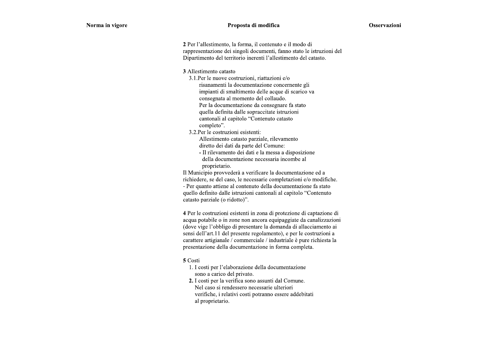#### Proposta di modifica

2 Per l'allestimento, la forma, il contenuto e il modo di rappresentazione dei singoli documenti, fanno stato le istruzioni del Dipartimento del territorio inerenti l'allestimento del catasto.

3 Allestimento catasto

3.1. Per le nuove costruzioni, riattazioni e/o risanamenti la documentazione concernente gli impianti di smaltimento delle acque di scarico va consegnata al momento del collaudo. Per la documentazione da consegnare fa stato quella definita dalle sopraccitate istruzioni cantonali al capitolo "Contenuto catasto completo".

3.2. Per le costruzioni esistenti:

Allestimento catasto parziale, rilevamento diretto dei dati da parte del Comune:

- Il rilevamento dei dati e la messa a disposizione della documentazione necessaria incombe al proprietario.

Il Municipio provvederà a verificare la documentazione ed a richiedere, se del caso, le necessarie completazioni e/o modifiche. - Per quanto attiene al contenuto della documentazione fa stato quello definito dalle istruzioni cantonali al capitolo "Contenuto catasto parziale (o ridotto)".

4 Per le costruzioni esistenti in zona di protezione di captazione di acqua potabile o in zone non ancora equipaggiate da canalizzazioni (dove vige l'obbligo di presentare la domanda di allacciamento ai sensi dell'art.11 del presente regolamento), e per le costruzioni a carattere artigianale / commerciale / industriale è pure richiesta la presentazione della documentazione in forma completa.

#### 5 Costi

- 1. I costi per l'elaborazione della documentazione sono a carico del privato.
- 2. I costi per la verifica sono assunti dal Comune. Nel caso si rendessero necessarie ulteriori verifiche, i relativi costi potranno essere addebitati al proprietario.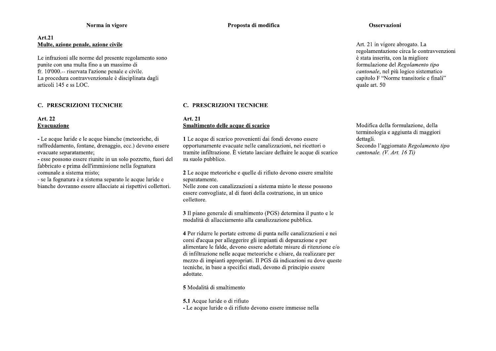# Art.21 Multe, azione penale, azione civile

Le infrazioni alle norme del presente regolamento sono punite con una multa fino a un massimo di fr. 10'000.-- riservata l'azione penale e civile. La procedura contravvenzionale è disciplinata dagli articoli 145 e ss LOC.

# **C. PRESCRIZIONI TECNICHE**

#### Art. 22 Evacuazione

- Le acque luride e le acque bianche (meteoriche, di raffreddamento, fontane, drenaggio, ecc.) devono essere evacuate separatamente:

- esse possono essere riunite in un solo pozzetto, fuori del fabbricato e prima dell'immissione nella fognatura comunale a sistema misto:

- se la fognatura è a sistema separato le acque luride e bianche dovranno essere allacciate ai rispettivi collettori.

#### Proposta di modifica

#### **C. PRESCRIZIONI TECNICHE**

#### Art. 21 Smaltimento delle acque di scarico

1 Le acque di scarico provenienti dai fondi devono essere opportunamente evacuate nelle canalizzazioni, nei ricettori o tramite infiltrazione. È vietato lasciare defluire le acque di scarico su suolo pubblico.

2 Le acque meteoriche e quelle di rifiuto devono essere smaltite separatamente.

Nelle zone con canalizzazioni a sistema misto le stesse possono essere convogliate, al di fuori della costruzione, in un unico collettore.

3 Il piano generale di smaltimento (PGS) determina il punto e le modalità di allacciamento alla canalizzazione pubblica.

4 Per ridurre le portate estreme di punta nelle canalizzazioni e nei corsi d'acqua per alleggerire gli impianti di depurazione e per alimentare le falde, devono essere adottate misure di ritenzione e/o di infiltrazione nelle acque meteoriche e chiare, da realizzare per mezzo di impianti appropriati. Il PGS dà indicazioni su dove queste tecniche, in base a specifici studi, devono di principio essere adottate.

5 Modalità di smaltimento

5.1 Acque luride o di rifiuto

- Le acque luride o di rifiuto devono essere immesse nella

#### Osservazioni

Art. 21 in vigore abrogato. La regolamentazione circa le contravvenzioni è stata inserita, con la migliore formulazione del Regolamento tipo cantonale, nel più logico sistematico capitolo F "Norme transitorie e finali" quale art. 50

Modifica della formulazione, della terminologia e aggiunta di maggiori dettagli. Secondo l'aggiornato Regolamento tipo cantonale. (V. Art. 16 Ti)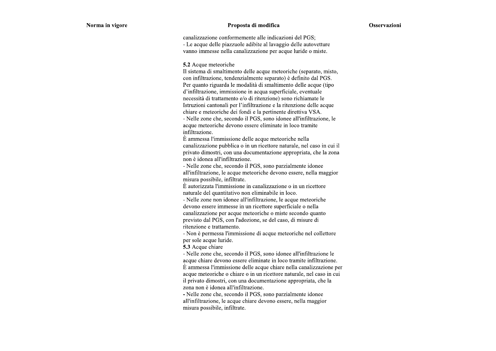#### Proposta di modifica

canalizzazione conformemente alle indicazioni del PGS; - Le acque delle piazzuole adibite al lavaggio delle autovetture vanno immesse nella canalizzazione per acque luride o miste.

5.2 Acque meteoriche

Il sistema di smaltimento delle acque meteoriche (separato, misto, con infiltrazione, tendenzialmente separato) è definito dal PGS. Per quanto riguarda le modalità di smaltimento delle acque (tipo d'infiltrazione, immissione in acqua superficiale, eventuale necessità di trattamento e/o di ritenzione) sono richiamate le Istruzioni cantonali per l'infiltrazione e la ritenzione delle acque chiare e meteoriche dei fondi e la pertinente direttiva VSA. - Nelle zone che, secondo il PGS, sono idonee all'infiltrazione, le acque meteoriche devono essere eliminate in loco tramite infiltrazione.

È ammessa l'immissione delle acque meteoriche nella canalizzazione pubblica o in un ricettore naturale, nel caso in cui il privato dimostri, con una documentazione appropriata, che la zona non è idonea all'infiltrazione.

- Nelle zone che, secondo il PGS, sono parzialmente idonee all'infiltrazione, le acque meteoriche devono essere, nella maggior misura possibile, infiltrate.

È autorizzata l'immissione in canalizzazione o in un ricettore naturale del quantitativo non eliminabile in loco.

- Nelle zone non idonee all'infiltrazione, le acque meteoriche devono essere immesse in un ricettore superficiale o nella canalizzazione per acque meteoriche o miste secondo quanto previsto dal PGS, con l'adozione, se del caso, di misure di ritenzione e trattamento.

- Non è permessa l'immissione di acque meteoriche nel collettore per sole acque luride.

5.3 Acque chiare

- Nelle zone che, secondo il PGS, sono idonee all'infiltrazione le acque chiare devono essere eliminate in loco tramite infiltrazione. È ammessa l'immissione delle acque chiare nella canalizzazione per acque meteoriche o chiare o in un ricettore naturale, nel caso in cui il privato dimostri, con una documentazione appropriata, che la zona non è idonea all'infiltrazione.

- Nelle zone che, secondo il PGS, sono parzialmente idonee all'infiltrazione, le acque chiare devono essere, nella maggior misura possibile, infiltrate.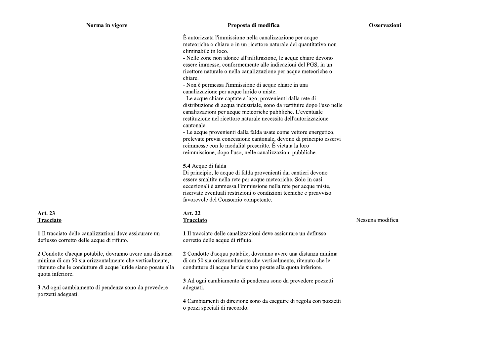#### Proposta di modifica

È autorizzata l'immissione nella canalizzazione per acque meteoriche o chiare o in un ricettore naturale del quantitativo non eliminabile in loco.

- Nelle zone non idonee all'infiltrazione, le acque chiare devono essere immesse, conformemente alle indicazioni del PGS, in un ricettore naturale o nella canalizzazione per acque meteoriche o chiare.

- Non è permessa l'immissione di acque chiare in una canalizzazione per acque luride o miste.

- Le acque chiare captate a lago, provenienti dalla rete di distribuzione di acqua industriale, sono da restituire dopo l'uso nelle canalizzazioni per acque meteoriche pubbliche. L'eventuale restituzione nel ricettore naturale necessita dell'autorizzazione cantonale.

- Le acque provenienti dalla falda usate come vettore energetico, prelevate previa concessione cantonale, devono di principio esservi reimmesse con le modalità prescritte. È vietata la loro reimmissione, dopo l'uso, nelle canalizzazioni pubbliche.

#### 5.4 Acque di falda

Di principio, le acque di falda provenienti dai cantieri devono essere smaltite nella rete per acque meteoriche. Solo in casi eccezionali è ammessa l'immissione nella rete per acque miste, riservate eventuali restrizioni o condizioni tecniche e preavviso favorevole del Consorzio competente.

#### Art. 22 Tracciato

1 Il tracciato delle canalizzazioni deve assicurare un deflusso corretto delle acque di rifiuto.

2 Condotte d'acqua potabile, dovranno avere una distanza minima di cm 50 sia orizzontalmente che verticalmente, ritenuto che le condutture di acque luride siano posate alla quota inferiore.

3 Ad ogni cambiamento di pendenza sono da prevedere pozzetti adeguati.

4 Cambiamenti di direzione sono da eseguire di regola con pozzetti o pezzi speciali di raccordo.

Nessuna modifica

# Art. 23 Tracciato

1 Il tracciato delle canalizzazioni deve assicurare un deflusso corretto delle acque di rifiuto.

2 Condotte d'acqua potabile, dovranno avere una distanza minima di cm 50 sia orizzontalmente che verticalmente, ritenuto che le condutture di acque luride siano posate alla quota inferiore.

3 Ad ogni cambiamento di pendenza sono da prevedere pozzetti adeguati.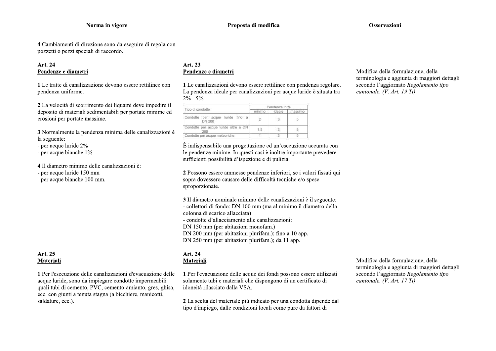#### Osservazioni

4 Cambiamenti di direzione sono da eseguire di regola con pozzetti o pezzi speciali di raccordo.

# Art. 24 Pendenze e diametri

1 Le tratte di canalizzazione devono essere rettilinee con pendenza uniforme.

2 La velocità di scorrimento dei liquami deve impedire il deposito di materiali sedimentabili per portate minime ed erosioni per portate massime.

3 Normalmente la pendenza minima delle canalizzazioni è la seguente:

- per acque luride 2%
- per acque bianche 1%

4 Il diametro minimo delle canalizzazioni è:

- per acque luride 150 mm
- per acque bianche 100 mm.

# Art. 25 Materiali

1 Per l'esecuzione delle canalizzazioni d'evacuazione delle acque luride, sono da impiegare condotte impermeabili quali tubi di cemento, PVC, cemento-amianto, gres, ghisa, ecc. con giunti a tenuta stagna (a bicchiere, manicotti, saldature, ecc.).

# Art. 23 Pendenze e diametri

1 Le canalizzazioni devono essere rettilinee con pendenza regolare. La pendenza ideale per canalizzazioni per acque luride è situata tra  $2\% - 5\%$ 

| Tipo di condotte                                  | Pendenze in % |        |         |
|---------------------------------------------------|---------------|--------|---------|
|                                                   | minima.       | ideale | massimo |
| Condotte per acque luride fino a<br><b>DN 200</b> | 25            |        | 5.      |
| Condotte per acque luride oltre a DN<br>200       | 1.5           |        |         |
| Condotte per acque meteoriche                     |               |        |         |

È indispensabile una progettazione ed un'esecuzione accurata con le pendenze minime. In questi casi è inoltre importante prevedere sufficienti possibilità d'ispezione e di pulizia.

2 Possono essere ammesse pendenze inferiori, se i valori fissati qui sopra dovessero causare delle difficoltà tecniche e/o spese sproporzionate.

3 Il diametro nominale minimo delle canalizzazioni è il seguente: - collettori di fondo: DN 100 mm (ma al minimo il diametro della

colonna di scarico allacciata)

- condotte d'allacciamento alle canalizzazioni:

DN 150 mm (per abitazioni monofam.)

DN 200 mm (per abitazioni plurifam.); fino a 10 app.

DN 250 mm (per abitazioni plurifam.); da 11 app.

#### Art. 24 Materiali

1 Per l'evacuazione delle acque dei fondi possono essere utilizzati solamente tubi e materiali che dispongono di un certificato di idoneità rilasciato dalla VSA.

2 La scelta del materiale più indicato per una condotta dipende dal tipo d'impiego, dalle condizioni locali come pure da fattori di

Modifica della formulazione, della terminologia e aggiunta di maggiori dettagli secondo l'aggiornato Regolamento tipo cantonale. (V. Art. 17 Ti)

Modifica della formulazione, della terminologia e aggiunta di maggiori dettagli secondo l'aggiornato Regolamento tipo cantonale.  $(V. Art. 19 Ti)$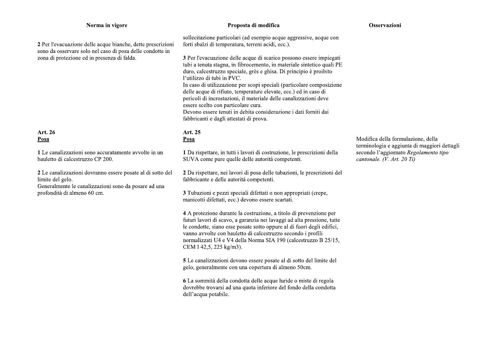2 Per l'evacuazione delle acque bianche, dette prescrizioni sono da osservare solo nel caso di posa delle condotte in zona di protezione ed in presenza di falda.

# Art. 26 Posa

1 Le canalizzazioni sono accuratamente avvolte in un bauletto di calcestruzzo CP 200.

2 Le canalizzazioni dovranno essere posate al di sotto del limite del gelo.

Generalmente le canalizzazioni sono da posare ad una profondità di almeno 60 cm.

# Proposta di modifica

#### Osservazioni

sollecitazione particolari (ad esempio acque aggressive, acque con forti sbalzi di temperatura, terreni acidi, ecc.).

3 Per l'evacuazione delle acque di scarico possono essere impiegati tubi a tenuta stagna, in fibrocemento, in materiale sintetico quali PE duro, calcestruzzo speciale, grès e ghisa. Di principio è proibito l'utilizzo di tubi in PVC. In caso di utilizzazione per scopi speciali (particolare composizione delle acque di rifiuto, temperature elevate, ecc.) ed in caso di pericoli di incrostazioni, il materiale delle canalizzazioni deve essere scelto con particolare cura. Devono essere tenuti in debita considerazione i dati forniti dai fabbricanti e dagli attestati di prova.

# Art. 25 Posa

1 Da rispettare, in tutti i lavori di costruzione, le prescrizioni della SUVA come pure quelle delle autorità competenti.

2 Da rispettare, nei lavori di posa delle tubazioni, le prescrizioni del fabbricante e delle autorità competenti.

3 Tubazioni e pezzi speciali difettati o non appropriati (crepe, manicotti difettati, ecc.) devono essere scartati.

4 A protezione durante la costruzione, a titolo di prevenzione per futuri lavori di scavo, a garanzia nei lavaggi ad alta pressione, tutte le condotte, siano esse posate sotto oppure al di fuori degli edifici, vanno avvolte con bauletto di calcestruzzo secondo i profili normalizzati U4 e V4 della Norma SIA 190 (calcestruzzo B 25/15, CEM I 42,5, 225 kg/m3).

5 Le canalizzazioni devono essere posate al di sotto del limite del gelo, generalmente con una copertura di almeno 50cm.

6 La sommità della condotta delle acque luride o miste di regola dovrebbe trovarsi ad una quota inferiore del fondo della condotta dell'acqua potabile.

Modifica della formulazione, della terminologia e aggiunta di maggiori dettagli secondo l'aggiornato Regolamento tipo cantonale. (V. Art. 20 Ti)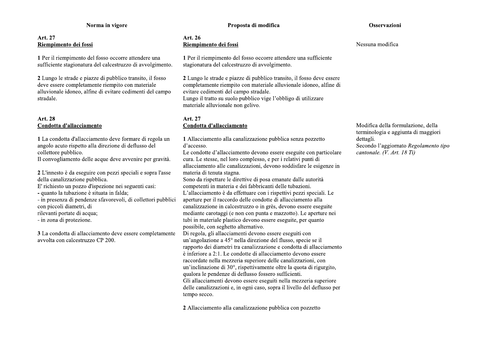# Art. 27 Riempimento dei fossi

1 Per il riempimento del fosso occorre attendere una sufficiente stagionatura del calcestruzzo di avvolgimento.

2 Lungo le strade e piazze di pubblico transito, il fosso deve essere completamente riempito con materiale alluvionale idoneo, alfine di evitare cedimenti del campo stradale.

# Art. 28 Condotta d'allacciamento

1 La condotta d'allacciamento deve formare di regola un angolo acuto rispetto alla direzione di deflusso del collettore pubblico.

Il convogliamento delle acque deve avvenire per gravità.

2 L'innesto è da eseguire con pezzi speciali e sopra l'asse della canalizzazione pubblica.

E' richiesto un pozzo d'ispezione nei seguenti casi:

- quanto la tubazione è situata in falda;

- in presenza di pendenze sfavorevoli, di collettori pubblici con piccoli diametri, di

rilevanti portate di acqua;

- in zona di protezione.

3 La condotta di allacciamento deve essere completamente avvolta con calcestruzzo CP 200.

#### Osservazioni

Art. 26 Riempimento dei fossi

1 Per il riempimento del fosso occorre attendere una sufficiente stagionatura del calcestruzzo di avvolgimento.

2 Lungo le strade e piazze di pubblico transito, il fosso deve essere completamente riempito con materiale alluvionale idoneo, alfine di evitare cedimenti del campo stradale. Lungo il tratto su suolo pubblico vige l'obbligo di utilizzare

materiale alluvionale non gelivo.

# Art. 27 Condotta d'allacciamento

1 Allacciamento alla canalizzazione pubblica senza pozzetto d'accesso.

Le condotte d'allacciamento devono essere eseguite con particolare cura. Le stesse, nel loro complesso, e per i relativi punti di allacciamento alle canalizzazioni, devono soddisfare le esigenze in materia di tenuta stagna.

Sono da rispettare le direttive di posa emanate dalle autorità competenti in materia e dei fabbricanti delle tubazioni. L'allacciamento è da effettuare con i rispettivi pezzi speciali. Le aperture per il raccordo delle condotte di allacciamento alla canalizzazione in calcestruzzo o in grès, devono essere eseguite mediante carotaggi (e non con punta e mazzotto). Le aperture nei tubi in materiale plastico devono essere eseguite, per quanto possibile, con seghetto alternativo.

Di regola, gli allacciamenti devono essere eseguiti con un'angolazione a 45° nella direzione del flusso, specie se il rapporto dei diametri tra canalizzazione e condotta di allacciamento è inferiore a 2:1. Le condotte di allacciamento devono essere raccordate nella mezzeria superiore delle canalizzazioni, con un'inclinazione di 30°, rispettivamente oltre la quota di rigurgito, qualora le pendenze di deflusso fossero sufficienti. Gli allacciamenti devono essere eseguiti nella mezzeria superiore delle canalizzazioni e, in ogni caso, sopra il livello del deflusso per tempo secco.

2 Allacciamento alla canalizzazione pubblica con pozzetto

Nessuna modifica

Modifica della formulazione, della terminologia e aggiunta di maggiori dettagli. Secondo l'aggiornato Regolamento tipo cantonale. (V. Art. 18 Ti)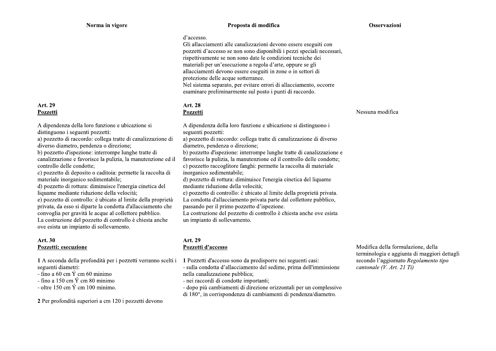#### Proposta di modifica

#### Osservazioni

#### d'accesso.

Gli allacciamenti alle canalizzazioni devono essere eseguiti con pozzetti d'accesso se non sono disponibili i pezzi speciali necessari, rispettivamente se non sono date le condizioni tecniche dei materiali per un'esecuzione a regola d'arte, oppure se gli allacciamenti devono essere eseguiti in zone o in settori di protezione delle acque sotterranee. Nel sistema separato, per evitare errori di allacciamento, occorre esaminare preliminarmente sul posto i punti di raccordo.

# Art. 28 Pozzetti

A dipendenza della loro funzione e ubicazione si distinguono i seguenti pozzetti:

a) pozzetto di raccordo: collega tratte di canalizzazione di diverso diametro, pendenza o direzione:

b) pozzetto d'ispezione: interrompe lunghe tratte di canalizzazione e favorisce la pulizia, la manutenzione ed il controllo delle condotte; c) pozzetto raccoglitore fanghi: permette la raccolta di materiale

inorganico sedimentabile:

d) pozzetto di rottura: diminuisce l'energia cinetica del liquame mediante riduzione della velocità;

e) pozzetto di controllo: è ubicato al limite della proprietà privata. La condotta d'allacciamento privata parte dal collettore pubblico,

passando per il primo pozzetto d'ispezione.

La costruzione del pozzetto di controllo è chiesta anche ove esista un impianto di sollevamento.

#### Art. 29 Pozzetti d'accesso

1 Pozzetti d'accesso sono da predisporre nei seguenti casi:

- sulla condotta d'allacciamento del sedime, prima dell'immissione nella canalizzazione pubblica;

- nei raccordi di condotte importanti;

- dopo più cambiamenti di direzione orizzontali per un complessivo di 180<sup>°</sup>, in corrispondenza di cambiamenti di pendenza/diametro.

Modifica della formulazione, della terminologia e aggiunta di maggiori dettagli secondo l'aggiornato Regolamento tipo cantonale (V. Art. 21 Ti)

A dipendenza della loro funzione e ubicazione si distinguono i seguenti pozzetti:

a) pozzetto di raccordo: collega tratte di canalizzazione di diverso diametro, pendenza o direzione:

b) pozzetto d'ispezione: interrompe lunghe tratte di canalizzazione e favorisce la pulizia, la manutenzione ed il controllo delle condotte;

c) pozzetto di deposito o caditoia: permette la raccolta di materiale inorganico sedimentabile;

d) pozzetto di rottura: diminuisce l'energia cinetica del liquame mediante riduzione della velocità;

e) pozzetto di controllo: è ubicato al limite della proprietà privata, da esso si diparte la condotta d'allacciamento che convoglia per gravità le acque al collettore pubblico. La costruzione del pozzetto di controllo è chiesta anche ove esista un impianto di sollevamento.

# **Art. 30** Pozzetti: esecuzione

Art. 29

Pozzetti

1 A seconda della profondità per i pozzetti verranno scelti i seguenti diametri:

- fino a 60 cm  $\acute{Y}$  cm 60 minimo

- fino a 150 cm  $\acute{Y}$  cm 80 minimo

- oltre 150 cm  $\acute{Y}$  cm 100 minimo.

2 Per profondità superiori a cm 120 i pozzetti devono

Nessuna modifica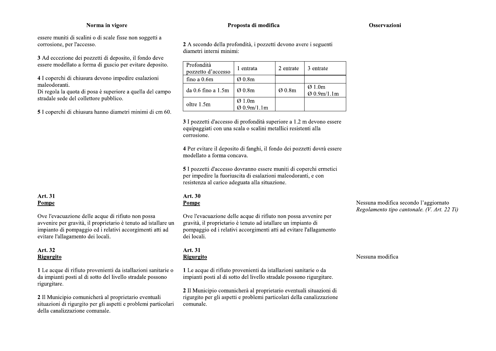essere muniti di scalini o di scale fisse non soggetti a corrosione, per l'accesso.

3 Ad eccezione dei pozzetti di deposito, il fondo deve essere modellato a forma di guscio per evitare deposito.

4 I coperchi di chiusura devono impedire esalazioni maleodoranti.

Di regola la quota di posa è superiore a quella del campo stradale sede del collettore pubblico.

5 I coperchi di chiusura hanno diametri minimi di cm 60.

#### Art. 31 Pompe

Ove l'evacuazione delle acque di rifiuto non possa avvenire per gravità, il proprietario è tenuto ad istallare un impianto di pompaggio ed i relativi accorgimenti atti ad evitare l'allagamento dei locali.

#### Art. 32 Rigurgito

1 Le acque di rifiuto provenienti da istallazioni sanitarie o da impianti posti al di sotto del livello stradale possono rigurgitare.

2 Il Municipio comunicherà al proprietario eventuali situazioni di rigurgito per gli aspetti e problemi particolari della canalizzazione comunale.

#### Proposta di modifica

Osservazioni

2 A secondo della profondità, i pozzetti devono avere i seguenti diametri interni minimi:

Profondità 1 entrata 2 entrate 3 entrate pozzetto d'accesso fino a 0.6m Ø 0.8m  $\overline{\varnothing}$  1.0m Ø 0.8m da 0.6 fino a 1.5m Ø 0.8m Ø 0.9m/1.1m  $Ø1.0m$ oltre 1.5m  $Q$  0.9m/1.1m

3 I pozzetti d'accesso di profondità superiore a 1.2 m devono essere equipaggiati con una scala o scalini metallici resistenti alla corrosione.

4 Per evitare il deposito di fanghi, il fondo dei pozzetti dovrà essere modellato a forma concava.

5 I pozzetti d'accesso dovranno essere muniti di coperchi ermetici per impedire la fuoriuscita di esalazioni maleodoranti, e con resistenza al carico adeguata alla situazione.

#### Art. 30 Pompe

Ove l'evacuazione delle acque di rifiuto non possa avvenire per gravità, il proprietario è tenuto ad istallare un impianto di pompaggio ed i relativi accorgimenti atti ad evitare l'allagamento dei locali.

#### Art. 31 Rigurgito

1 Le acque di rifiuto provenienti da istallazioni sanitarie o da impianti posti al di sotto del livello stradale possono rigurgitare.

2 Il Municipio comunicherà al proprietario eventuali situazioni di rigurgito per gli aspetti e problemi particolari della canalizzazione comunale.

Nessuna modifica secondo l'aggiornato Regolamento tipo cantonale. (V. Art. 22 Ti)

#### Nessuna modifica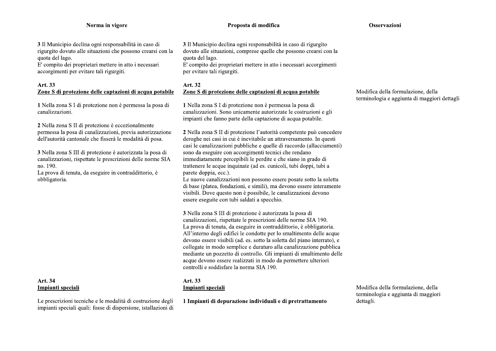#### Proposta di modifica

#### Osservazioni

3 Il Municipio declina ogni responsabilità in caso di rigurgito dovuto alle situazioni che possono crearsi con la quota del lago.

E' compito dei proprietari mettere in atto i necessari accorgimenti per evitare tali rigurgiti.

# Art. 33 Zone S di protezione delle captazioni di acqua potabile

1 Nella zona S I di protezione non è permessa la posa di canalizzazioni.

2 Nella zona S II di protezione è eccezionalmente permessa la posa di canalizzazioni, previa autorizzazione dell'autorità cantonale che fisserà le modalità di posa.

3 Nella zona S III di protezione è autorizzata la posa di canalizzazioni, rispettate le prescrizioni delle norme SIA no. 190.

La prova di tenuta, da eseguire in contraddittorio, è obbligatoria.

# Art. 34 Impianti speciali

Le prescrizioni tecniche e le modalità di costruzione degli impianti speciali quali: fosse di dispersione, istallazioni di 3 Il Municipio declina ogni responsabilità in caso di rigurgito dovuto alle situazioni, comprese quelle che possono crearsi con la quota del lago.

E' compito dei proprietari mettere in atto i necessari accorgimenti per evitare tali rigurgiti.

#### Art. 32 Zone S di protezione delle captazioni di acqua potabile

1 Nella zona S I di protezione non è permessa la posa di canalizzazioni. Sono unicamente autorizzate le costruzioni e gli impianti che fanno parte della captazione di acqua potabile.

2 Nella zona S II di protezione l'autorità competente può concedere deroghe nei casi in cui è inevitabile un attraversamento. In questi casi le canalizzazioni pubbliche e quelle di raccordo (allacciamenti) sono da eseguire con accorgimenti tecnici che rendano immediatamente percepibili le perdite e che siano in grado di trattenere le acque inquinate (ad es. cunicoli, tubi doppi, tubi a parete doppia, ecc.).

Le nuove canalizzazioni non possono essere posate sotto la soletta di base (platea, fondazioni, e simili), ma devono essere interamente visibili. Dove questo non è possibile, le canalizzazioni devono essere eseguite con tubi saldati a specchio.

3 Nella zona S III di protezione è autorizzata la posa di canalizzazioni, rispettate le prescrizioni delle norme SIA 190. La prova di tenuta, da eseguire in contraddittorio, è obbligatoria. All'interno degli edifici le condotte per lo smaltimento delle acque devono essere visibili (ad. es. sotto la soletta del piano interrato), e collegate in modo semplice e duraturo alla canalizzazione pubblica mediante un pozzetto di controllo. Gli impianti di smaltimento delle acque devono essere realizzati in modo da permettere ulteriori controlli e soddisfare la norma SIA 190.

#### Art. 33 Impianti speciali

1 Impianti di depurazione individuali e di pretrattamento

Modifica della formulazione, della terminologia e aggiunta di maggiori dettagli.

Modifica della formulazione, della terminologia e aggiunta di maggiori dettagli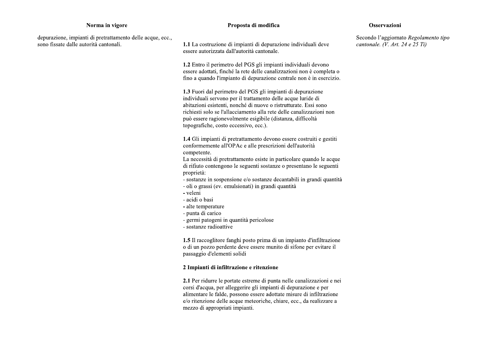#### Proposta di modifica

#### **Osservazioni**

depurazione, impianti di pretrattamento delle acque, ecc., sono fissate dalle autorità cantonali.

1.1 La costruzione di impianti di depurazione individuali deve essere autorizzata dall'autorità cantonale.

1.2 Entro il perimetro del PGS gli impianti individuali devono essere adottati, finché la rete delle canalizzazioni non è completa o fino a quando l'impianto di depurazione centrale non è in esercizio.

1.3 Fuori dal perimetro del PGS gli impianti di depurazione individuali servono per il trattamento delle acque luride di abitazioni esistenti, nonché di nuove o ristrutturate. Essi sono richiesti solo se l'allacciamento alla rete delle canalizzazioni non può essere ragionevolmente esigibile (distanza, difficoltà topografiche, costo eccessivo, ecc.).

1.4 Gli impianti di pretrattamento devono essere costruiti e gestiti conformemente all'OPAc e alle prescrizioni dell'autorità competente.

La necessità di pretrattamento esiste in particolare quando le acque di rifiuto contengono le seguenti sostanze o presentano le seguenti proprietà:

- sostanze in sospensione e/o sostanze decantabili in grandi quantità
- oli o grassi (ev. emulsionati) in grandi quantità
- veleni
- acidi o basi
- alte temperature
- punta di carico
- germi patogeni in quantità pericolose
- sostanze radioattive

1.5 Il raccoglitore fanghi posto prima di un impianto d'infiltrazione o di un pozzo perdente deve essere munito di sifone per evitare il passaggio d'elementi solidi

#### 2 Impianti di infiltrazione e ritenzione

2.1 Per ridurre le portate estreme di punta nelle canalizzazioni e nei corsi d'acqua, per alleggerire gli impianti di depurazione e per alimentare le falde, possono essere adottate misure di infiltrazione e/o ritenzione delle acque meteoriche, chiare, ecc., da realizzare a mezzo di appropriati impianti.

Secondo l'aggiornato Regolamento tipo cantonale.  $(V. Art. 24 e 25 Ti)$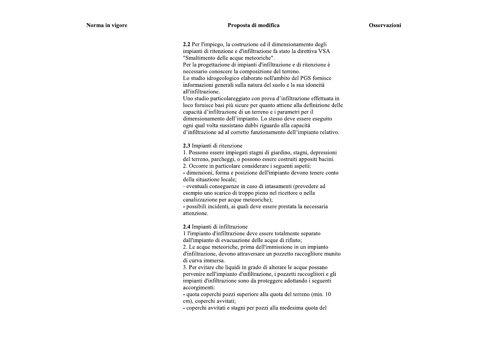2.2 Per l'impiego, la costruzione ed il dimensionamento degli impianti di ritenzione e d'infiltrazione fa stato la direttiva VSA "Smaltimento delle acque meteoriche".

Per la progettazione di impianti d'infiltrazione e di ritenzione è necessario conoscere la composizione del terreno. Lo studio idrogeologico elaborato nell'ambito del PGS fornisce

informazioni generali sulla natura del suolo e la sua idoneità all'infiltrazione.

Uno studio particolareggiato con prova d'infiltrazione effettuata in loco fornisce basi più sicure per quanto attiene alla definizione delle capacità d'infiltrazione di un terreno e i parametri per il dimensionamento dell'impianto. Lo stesso deve essere eseguito ogni qual volta sussistano dubbi riguardo alla capacità d'infiltrazione ad al corretto funzionamento dell'impianto relativo.

2.3 Impianti di ritenzione

1. Possono essere impiegati stagni di giardino, stagni, depressioni del terreno, parcheggi, o possono essere costruiti appositi bacini.

2. Occorre in particolare considerare i seguenti aspetti:

- dimensioni, forma e posizione dell'impianto devono tenere conto della situazione locale;

- eventuali conseguenze in caso di intasamenti (prevedere ad esempio uno scarico di troppo pieno nel ricettore o nella canalizzazione per acque meteoriche);

- possibili incidenti, ai quali deve essere prestata la necessaria attenzione.

2.4 Impianti di infiltrazione

1 l'impianto d'infiltrazione deve essere totalmente separato

dall'impianto di evacuazione delle acque di rifiuto;

2. Le acque meteoriche, prima dell'immissione in un impianto d'infiltrazione, devono attraversare un pozzetto raccoglitore munito

di curva immersa.

3. Per evitare che liquidi in grado di alterare le acque possano pervenire nell'impianto d'infiltrazione, i pozzetti raccoglitori e gli impianti d'infiltrazione sono da proteggere adottando i seguenti accorgimenti:

- quota coperchi pozzi superiore alla quota del terreno (min. 10 cm), coperchi avvitati;

- coperchi avvitati e stagni per pozzi alla medesima quota del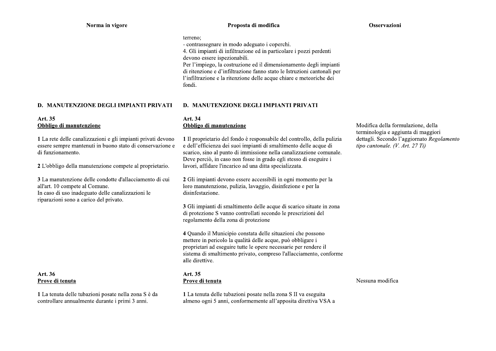#### Proposta di modifica

#### Osservazioni

#### terreno:

- contrassegnare in modo adeguato i coperchi.

4. Gli impianti di infiltrazione ed in particolare i pozzi perdenti devono essere ispezionabili.

Per l'impiego, la costruzione ed il dimensionamento degli impianti di ritenzione e d'infiltrazione fanno stato le Istruzioni cantonali per l'infiltrazione e la ritenzione delle acque chiare e meteoriche dei fondi.

#### **D. MANUTENZIONE DEGLI IMPIANTI PRIVATI**

# Art. 35 Obbligo di manutenzione

1 La rete delle canalizzazioni e gli impianti privati devono essere sempre mantenuti in buono stato di conservazione e di funzionamento.

2 L'obbligo della manutenzione compete al proprietario.

3 La manutenzione delle condotte d'allacciamento di cui all'art. 10 compete al Comune. In caso di uso inadeguato delle canalizzazioni le riparazioni sono a carico del privato.

# Art. 36 Prove di tenuta

1 La tenuta delle tubazioni posate nella zona S è da controllare annualmente durante i primi 3 anni.

# **D. MANUTENZIONE DEGLI IMPIANTI PRIVATI**

#### Art. 34 Obbligo di manutenzione

1 Il proprietario del fondo è responsabile del controllo, della pulizia e dell'efficienza dei suoi impianti di smaltimento delle acque di scarico. sino al punto di immissione nella canalizzazione comunale. Deve perciò, in caso non fosse in grado egli stesso di eseguire i lavori, affidare l'incarico ad una ditta specializzata.

2 Gli impianti devono essere accessibili in ogni momento per la loro manutenzione, pulizia, lavaggio, disinfezione e per la disinfestazione.

3 Gli impianti di smaltimento delle acque di scarico situate in zona di protezione S vanno controllati secondo le prescrizioni del regolamento della zona di protezione

4 Quando il Municipio constata delle situazioni che possono mettere in pericolo la qualità delle acque, può obbligare i proprietari ad eseguire tutte le opere necessarie per rendere il sistema di smaltimento privato, compreso l'allacciamento, conforme alle direttive.

# Art. 35 Prove di tenuta

1 La tenuta delle tubazioni posate nella zona S II va eseguita almeno ogni 5 anni, conformemente all'apposita direttiva VSA a

Modifica della formulazione, della terminologia e aggiunta di maggiori dettagli. Secondo l'aggiornato Regolamento tipo cantonale. (V. Art. 27 Ti)

#### Nessuna modifica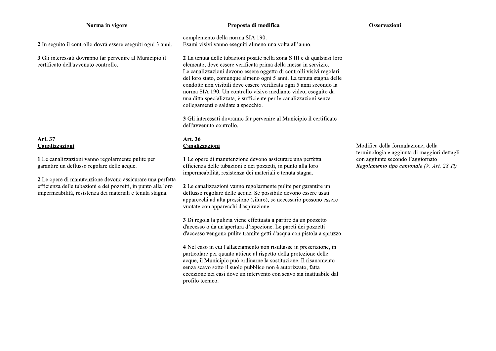#### Proposta di modifica

#### Osservazioni

2 In seguito il controllo dovrà essere eseguiti ogni 3 anni.

3 Gli interessati dovranno far pervenire al Municipio il certificato dell'avvenuto controllo.

# Art. 37 Canalizzazioni

1 Le canalizzazioni vanno regolarmente pulite per garantire un deflusso regolare delle acque.

2 Le opere di manutenzione devono assicurare una perfetta efficienza delle tubazioni e dei pozzetti, in punto alla loro impermeabilità, resistenza dei materiali e tenuta stagna.

complemento della norma SIA 190. Esami visivi vanno eseguiti almeno una volta all'anno.

2 La tenuta delle tubazioni posate nella zona S III e di qualsiasi loro elemento, deve essere verificata prima della messa in servizio. Le canalizzazioni devono essere oggetto di controlli visivi regolari del loro stato, comunque almeno ogni 5 anni. La tenuta stagna delle condotte non visibili deve essere verificata ogni 5 anni secondo la norma SIA 190. Un controllo visivo mediante video, eseguito da una ditta specializzata, è sufficiente per le canalizzazioni senza collegamenti o saldate a specchio.

3 Gli interessati dovranno far pervenire al Municipio il certificato dell'avvenuto controllo.

#### Art. 36 Canalizzazioni

1 Le opere di manutenzione devono assicurare una perfetta efficienza delle tubazioni e dei pozzetti, in punto alla loro impermeabilità, resistenza dei materiali e tenuta stagna.

2 Le canalizzazioni vanno regolarmente pulite per garantire un deflusso regolare delle acque. Se possibile devono essere usati apparecchi ad alta pressione (siluro), se necessario possono essere vuotate con apparecchi d'aspirazione.

3 Di regola la pulizia viene effettuata a partire da un pozzetto d'accesso o da un'apertura d'ispezione. Le pareti dei pozzetti d'accesso vengono pulite tramite getti d'acqua con pistola a spruzzo.

4 Nel caso in cui l'allacciamento non risultasse in prescrizione, in particolare per quanto attiene al rispetto della protezione delle acque, il Municipio può ordinarne la sostituzione. Il risanamento senza scavo sotto il suolo pubblico non è autorizzato, fatta eccezione nei casi dove un intervento con scavo sia inattuabile dal profilo tecnico.

Modifica della formulazione, della terminologia e aggiunta di maggiori dettagli con aggiunte secondo l'aggiornato Regolamento tipo cantonale (V. Art. 28 Ti)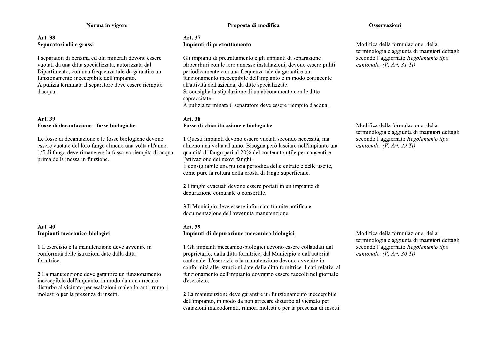# Art. 38 Separatori olii e grassi

I separatori di benzina ed olii minerali devono essere vuotati da una ditta specializzata, autorizzata dal Dipartimento, con una frequenza tale da garantire un funzionamento ineccepibile dell'impianto. A pulizia terminata il separatore deve essere riempito d'acqua.

# Art. 39 Fosse di decantazione - fosse biologiche

Le fosse di decantazione e le fosse biologiche devono essere vuotate del loro fango almeno una volta all'anno. 1/5 di fango deve rimanere e la fossa va riempita di acqua prima della messa in funzione.

# Art. 40 Impianti meccanico-biologici

1 L'esercizio e la manutenzione deve avvenire in conformità delle istruzioni date dalla ditta fornitrice.

2 La manutenzione deve garantire un funzionamento ineccepibile dell'impianto, in modo da non arrecare disturbo al vicinato per esalazioni maleodoranti, rumori molesti o per la presenza di insetti.

# Proposta di modifica

#### Art. 37 Impianti di pretrattamento

Gli impianti di pretrattamento e gli impianti di separazione idrocarburi con le loro annesse installazioni, devono essere puliti periodicamente con una frequenza tale da garantire un funzionamento ineccepibile dell'impianto e in modo confacente all'attività dell'azienda, da ditte specializzate. Si consiglia la stipulazione di un abbonamento con le ditte sopraccitate.

A pulizia terminata il separatore deve essere riempito d'acqua.

#### Art. 38 Fosse di chiarificazione e biologiche

1 Questi impianti devono essere vuotati secondo necessità, ma almeno una volta all'anno. Bisogna però lasciare nell'impianto una quantità di fango pari al 20% del contenuto utile per consentire l'attivazione dei nuovi fanghi. È consigliabile una pulizia periodica delle entrate e delle uscite,

come pure la rottura della crosta di fango superficiale.

2 I fanghi evacuati devono essere portati in un impianto di depurazione comunale o consortile.

3 Il Municipio deve essere informato tramite notifica e documentazione dell'avvenuta manutenzione.

#### Art. 39 Impianti di depurazione meccanico-biologici

1 Gli impianti meccanico-biologici devono essere collaudati dal proprietario, dalla ditta fornitrice, dal Municipio e dall'autorità cantonale. L'esercizio e la manutenzione devono avvenire in conformità alle istruzioni date dalla ditta fornitrice. I dati relativi al funzionamento dell'impianto dovranno essere raccolti nel giornale d'esercizio.

2 La manutenzione deve garantire un funzionamento ineccepibile dell'impianto, in modo da non arrecare disturbo al vicinato per esalazioni maleodoranti, rumori molesti o per la presenza di insetti.

#### Osservazioni

Modifica della formulazione, della terminologia e aggiunta di maggiori dettagli secondo l'aggiornato Regolamento tipo cantonale. (V. Art. 31 Ti)

Modifica della formulazione, della terminologia e aggiunta di maggiori dettagli secondo l'aggiornato Regolamento tipo cantonale. (V. Art. 29 Ti)

Modifica della formulazione, della terminologia e aggiunta di maggiori dettagli secondo l'aggiornato Regolamento tipo cantonale. (V. Art. 30 Ti)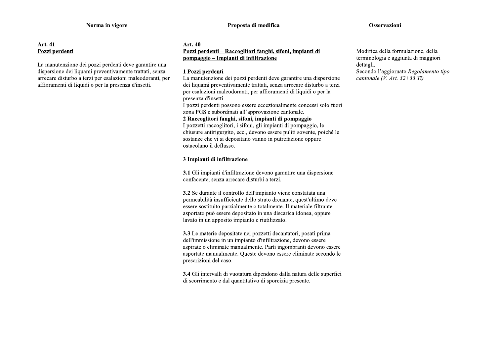#### **Osservazioni**

#### **Art. 41** Pozzi perdenti

La manutenzione dei pozzi perdenti deve garantire una dispersione dei liquami preventivamente trattati, senza arrecare disturbo a terzi per esalazioni maleodoranti, per affioramenti di liquidi o per la presenza d'insetti.

#### Art. 40 Pozzi perdenti – Raccoglitori fanghi, sifoni, impianti di pompaggio – Impianti di infiltrazione

#### 1 Pozzi perdenti

La manutenzione dei pozzi perdenti deve garantire una dispersione dei liquami preventivamente trattati, senza arrecare disturbo a terzi per esalazioni maleodoranti, per affioramenti di liquidi o per la presenza d'insetti.

I pozzi perdenti possono essere eccezionalmente concessi solo fuori zona PGS e subordinati all'approvazione cantonale.

#### 2 Raccoglitori fanghi, sifoni, impianti di pompaggio

I pozzetti raccoglitori, i sifoni, gli impianti di pompaggio, le chiusure antirigurgito, ecc., devono essere puliti sovente, poiché le sostanze che vi si depositano vanno in putrefazione oppure ostacolano il deflusso.

# 3 Impianti di infiltrazione

3.1 Gli impianti d'infiltrazione devono garantire una dispersione confacente, senza arrecare disturbi a terzi.

3.2 Se durante il controllo dell'impianto viene constatata una permeabilità insufficiente dello strato drenante, quest'ultimo deve essere sostituito parzialmente o totalmente. Il materiale filtrante asportato può essere depositato in una discarica idonea, oppure lavato in un apposito impianto e riutilizzato.

3.3 Le materie depositate nei pozzetti decantatori, posati prima dell'immissione in un impianto d'infiltrazione, devono essere aspirate o eliminate manualmente. Parti ingombranti devono essere asportate manualmente. Queste devono essere eliminate secondo le prescrizioni del caso.

3.4 Gli intervalli di vuotatura dipendono dalla natura delle superfici di scorrimento e dal quantitativo di sporcizia presente.

Modifica della formulazione, della terminologia e aggiunta di maggiori dettagli. Secondo l'aggiornato Regolamento tipo cantonale  $(V, Art, 32+33 Ti)$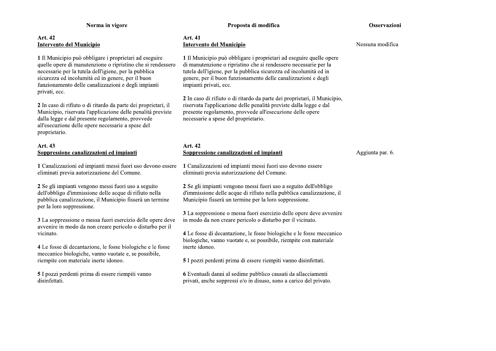# Art. 42 **Intervento del Municipio**

1 Il Municipio può obbligare i proprietari ad eseguire quelle opere di manutenzione o ripristino che si rendessero necessarie per la tutela dell'igiene, per la pubblica sicurezza ed incolumità ed in genere, per il buon funzionamento delle canalizzazioni e degli impianti privati, ecc.

2 In caso di rifiuto o di ritardo da parte dei proprietari, il Municipio, riservata l'applicazione delle penalità previste dalla legge e dal presente regolamento, provvede all'esecuzione delle opere necessarie a spese del proprietario.

# Art. 43 Soppressione canalizzazioni ed impianti

1 Canalizzazioni ed impianti messi fuori uso devono essere eliminati previa autorizzazione del Comune.

2 Se gli impianti vengono messi fuori uso a seguito dell'obbligo d'immissione delle acque di rifiuto nella pubblica canalizzazione, il Municipio fisserà un termine per la loro soppressione.

3 La soppressione o messa fuori esercizio delle opere deve avvenire in modo da non creare pericolo o disturbo per il vicinato.

4 Le fosse di decantazione, le fosse biologiche e le fosse meccanico biologiche, vanno vuotate e, se possibile, riempite con materiale inerte idoneo.

5 I pozzi perdenti prima di essere riempiti vanno disinfettati.

# Proposta di modifica

#### Osservazioni

#### Art. 41 Intervento del Municipio

1 Il Municipio può obbligare i proprietari ad eseguire quelle opere di manutenzione o ripristino che si rendessero necessarie per la tutela dell'igiene, per la pubblica sicurezza ed incolumità ed in genere, per il buon funzionamento delle canalizzazioni e degli impianti privati, ecc.

2 In caso di rifiuto o di ritardo da parte dei proprietari, il Municipio, riservata l'applicazione delle penalità previste dalla legge e dal presente regolamento, provvede all'esecuzione delle opere necessarie a spese del proprietario.

# Art. 42 Soppressione canalizzazioni ed impianti

Aggiunta par. 6.

1 Canalizzazioni ed impianti messi fuori uso devono essere eliminati previa autorizzazione del Comune.

2 Se gli impianti vengono messi fuori uso a seguito dell'obbligo d'immissione delle acque di rifiuto nella pubblica canalizzazione, il Municipio fisserà un termine per la loro soppressione.

3 La soppressione o messa fuori esercizio delle opere deve avvenire in modo da non creare pericolo o disturbo per il vicinato.

4 Le fosse di decantazione, le fosse biologiche e le fosse meccanico biologiche, vanno vuotate e, se possibile, riempite con materiale inerte idoneo.

5 I pozzi perdenti prima di essere riempiti vanno disinfettati.

6 Eventuali danni al sedime pubblico causati da allacciamenti privati, anche soppressi e/o in disuso, sono a carico del privato. Nessuna modifica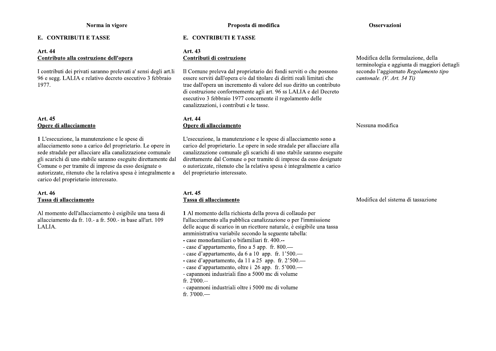#### E. CONTRIBUTI E TASSE

#### Art. 44 Contributo alla costruzione dell'opera

I contributi dei privati saranno prelevati a' sensi degli art.li 96 e segg. LALIA e relativo decreto esecutivo 3 febbraio 1977.

# Art. 45 Opere di allacciamento

1 L'esecuzione, la manutenzione e le spese di allacciamento sono a carico del proprietario. Le opere in sede stradale per allacciare alla canalizzazione comunale gli scarichi di uno stabile saranno eseguite direttamente dal Comune o per tramite di imprese da esso designate o autorizzate, ritenuto che la relativa spesa è integralmente a carico del proprietario interessato.

#### Art. 46 Tassa di allacciamento

Al momento dell'allacciamento è esigibile una tassa di allacciamento da fr. 10.- a fr. 500.- in base all'art. 109 LALIA.

#### E. CONTRIBUTI E TASSE

#### Art. 43 Contributi di costruzione

Il Comune preleva dal proprietario dei fondi serviti o che possono essere serviti dall'opera e/o dal titolare di diritti reali limitati che trae dall'opera un incremento di valore del suo diritto un contributo di costruzione conformemente agli art. 96 ss LALIA e del Decreto esecutivo 3 febbraio 1977 concernente il regolamento delle canalizzazioni, i contributi e le tasse.

#### Art. 44 Opere di allacciamento

L'esecuzione, la manutenzione e le spese di allacciamento sono a carico del proprietario. Le opere in sede stradale per allacciare alla canalizzazione comunale gli scarichi di uno stabile saranno eseguite direttamente dal Comune o per tramite di imprese da esso designate o autorizzate, ritenuto che la relativa spesa è integralmente a carico del proprietario interessato.

# Art. 45 Tassa di allacciamento

1 Al momento della richiesta della prova di collaudo per l'allacciamento alla pubblica canalizzazione o per l'immissione delle acque di scarico in un ricettore naturale, è esigibile una tassa amministrativa variabile secondo la seguente tabella: - case monofamiliari o bifamiliari fr. 400.--

- 
- case d'appartamento, fino a 5 app. fr. 800.—
- case d'appartamento, da 6 a 10 app. fr.  $1'500$ .
- case d'appartamento, da 11 a 25 app. fr.  $2'500$ .
- case d'appartamento, oltre i 26 app. fr. 5'000.— - capannoni industriali fino a 5000 mc di volume
- fr.  $2'000$ .--
- capannoni industriali oltre i 5000 mc di volume fr.  $3'000$ .

#### Osservazioni

Modifica della formulazione, della terminologia e aggiunta di maggiori dettagli secondo l'aggiornato Regolamento tipo cantonale. (V. Art. 34 Ti)

#### Nessuna modifica

#### Modifica del sistema di tassazione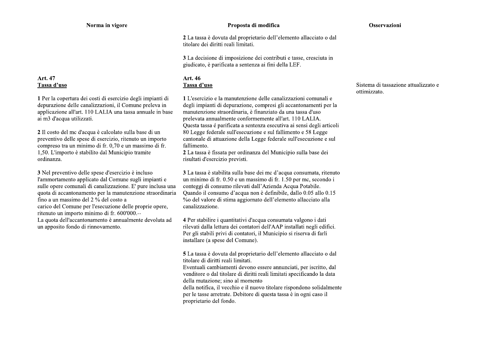# Art. 47 Tassa d'uso

1 Per la copertura dei costi di esercizio degli impianti di depurazione delle canalizzazioni, il Comune preleva in applicazione all'art. 110 LALIA una tassa annuale in base ai m3 d'acqua utilizzati.

2 Il costo del me d'acqua è calcolato sulla base di un preventivo delle spese di esercizio, ritenuto un importo compreso tra un minimo di fr. 0.70 e un massimo di fr. 1,50. L'importo è stabilito dal Municipio tramite ordinanza.

3 Nel preventivo delle spese d'esercizio è incluso l'ammortamento applicato dal Comune sugli impianti e sulle opere comunali di canalizzazione. E' pure inclusa una quota di accantonamento per la manutenzione straordinaria fino a un massimo del 2 % del costo a carico del Comune per l'esecuzione delle proprie opere, ritenuto un importo minimo di fr. 600'000.--La quota dell'accantonamento è annualmente devoluta ad un apposito fondo di rinnovamento.

#### Proposta di modifica

#### Osservazioni

2 La tassa è dovuta dal proprietario dell'elemento allacciato o dal titolare dei diritti reali limitati.

3 La decisione di imposizione dei contributi e tasse, cresciuta in giudicato, è parificata a sentenza ai fini della LEF.

#### Art. 46 Tassa d'uso

1 L'esercizio e la manutenzione delle canalizzazioni comunali e degli impianti di depurazione, compresi gli accantonamenti per la manutenzione straordinaria, è finanziato da una tassa d'uso prelevata annualmente conformemente all'art. 110 LALIA. Questa tassa é parificata a sentenza esecutiva ai sensi degli articoli 80 Legge federale sull'esecuzione e sul fallimento e 58 Legge cantonale di attuazione della Legge federale sull'esecuzione e sul fallimento.

2 La tassa è fissata per ordinanza del Municipio sulla base dei risultati d'esercizio previsti.

3 La tassa è stabilita sulla base dei me d'acqua consumata, ritenuto un minimo di fr. 0.50 e un massimo di fr. 1.50 per mc, secondo i conteggi di consumo rilevati dall'Azienda Acqua Potabile. Ouando il consumo d'acqua non è definibile, dallo 0.05 allo 0.15 % del valore di stima aggiornato dell'elemento allacciato alla canalizzazione.

4 Per stabilire i quantitativi d'acqua consumata valgono i dati rilevati dalla lettura dei contatori dell'AAP installati negli edifici. Per gli stabili privi di contatori, il Municipio si riserva di farli installare (a spese del Comune).

5 La tassa è dovuta dal proprietario dell'elemento allacciato o dal titolare di diritti reali limitati.

Eventuali cambiamenti devono essere annunciati, per iscritto, dal venditore o dal titolare di diritti reali limitati specificando la data della mutazione: sino al momento

della notifica, il vecchio e il nuovo titolare rispondono solidalmente per le tasse arretrate. Debitore di questa tassa è in ogni caso il proprietario del fondo.

# Sistema di tassazione attualizzato e ottimizzato.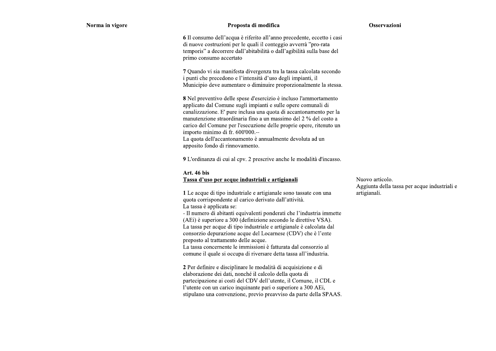#### Proposta di modifica

#### Osservazioni

6 Il consumo dell'acqua è riferito all'anno precedente, eccetto i casi di nuove costruzioni per le quali il conteggio avverrà "pro-rata" temporis" a decorrere dall'abitabilità o dall'agibilità sulla base del primo consumo accertato

7 Quando vi sia manifesta divergenza tra la tassa calcolata secondo i punti che precedono e l'intensità d'uso degli impianti, il Municipio deve aumentare o diminuire proporzionalmente la stessa.

8 Nel preventivo delle spese d'esercizio è incluso l'ammortamento applicato dal Comune sugli impianti e sulle opere comunali di canalizzazione. E' pure inclusa una quota di accantonamento per la manutenzione straordinaria fino a un massimo del 2 % del costo a carico del Comune per l'esecuzione delle proprie opere, ritenuto un importo minimo di fr. 600'000.--La quota dell'accantonamento è annualmente devoluta ad un apposito fondo di rinnovamento.

9 L'ordinanza di cui al cpv. 2 prescrive anche le modalità d'incasso.

#### Art. 46 bis

#### Tassa d'uso per acque industriali e artigianali

1 Le acque di tipo industriale e artigianale sono tassate con una quota corrispondente al carico derivato dall'attività. La tassa è applicata se:

- Il numero di abitanti equivalenti ponderati che l'industria immette (AEi) è superiore a 300 (definizione secondo le direttive VSA). La tassa per acque di tipo industriale e artigianale è calcolata dal consorzio depurazione acque del Locarnese (CDV) che è l'ente preposto al trattamento delle acque.

La tassa concernente le immissioni è fatturata dal consorzio al comune il quale si occupa di riversare detta tassa all'industria.

2 Per definire e disciplinare le modalità di acquisizione e di elaborazione dei dati, nonché il calcolo della quota di partecipazione ai costi del CDV dell'utente, il Comune, il CDL e l'utente con un carico inquinante pari o superiore a 300 AEi, stipulano una convenzione, previo preavviso da parte della SPAAS. Nuovo articolo. Aggiunta della tassa per acque industriali e artigianali.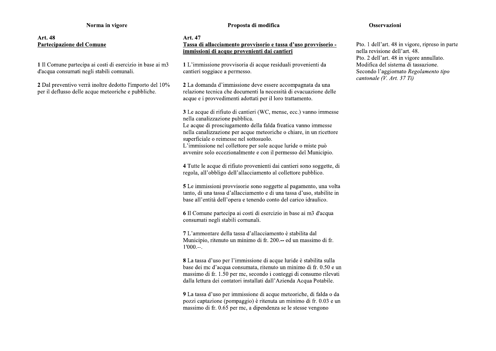# Art. 48 Partecipazione del Comune

1 Il Comune partecipa ai costi di esercizio in base ai m3 d'acqua consumati negli stabili comunali.

2 Dal preventivo verrà inoltre dedotto l'importo del 10% per il deflusso delle acque meteoriche e pubbliche.

#### Proposta di modifica

#### Art. 47

# Tassa di allacciamento provvisorio e tassa d'uso provvisorio immissioni di acque provenienti dai cantieri

1 L'immissione provvisoria di acque residuali provenienti da cantieri soggiace a permesso.

2 La domanda d'immissione deve essere accompagnata da una relazione tecnica che documenti la necessità di evacuazione delle acque e i provvedimenti adottati per il loro trattamento.

3 Le acque di rifiuto di cantieri (WC, mense, ecc.) vanno immesse nella canalizzazione pubblica.

Le acque di prosciugamento della falda freatica vanno immesse nella canalizzazione per acque meteoriche o chiare, in un ricettore superficiale o reimesse nel sottosuolo.

L'immissione nel collettore per sole acque luride o miste può avvenire solo eccezionalmente e con il permesso del Municipio.

4 Tutte le acque di rifiuto provenienti dai cantieri sono soggette, di regola, all'obbligo dell'allacciamento al collettore pubblico.

5 Le immissioni provvisorie sono soggette al pagamento, una volta tanto, di una tassa d'allacciamento e di una tassa d'uso, stabilite in base all'entità dell'opera e tenendo conto del carico idraulico.

6 Il Comune partecipa ai costi di esercizio in base ai m3 d'acqua consumati negli stabili comunali.

7 L'ammontare della tassa d'allacciamento è stabilita dal Municipio, ritenuto un minimo di fr. 200.-- ed un massimo di fr.  $1'000$ ...

8 La tassa d'uso per l'immissione di acque luride è stabilita sulla base dei mc d'acqua consumata, ritenuto un minimo di fr. 0.50 e un massimo di fr. 1.50 per me, secondo i conteggi di consumo rilevati dalla lettura dei contatori installati dall'Azienda Acqua Potabile.

9 La tassa d'uso per immissione di acque meteoriche, di falda o da pozzi captazione (pompaggio) è ritenuta un minimo di fr. 0.03 e un massimo di fr. 0.65 per mc, a dipendenza se le stesse vengono

#### Osservazioni

Pto. 1 dell'art. 48 in vigore, ripreso in parte nella revisione dell'art. 48. Pto. 2 dell'art. 48 in vigore annullato. Modifica del sistema di tassazione. Secondo l'aggiornato Regolamento tipo cantonale (V. Art. 37 Ti)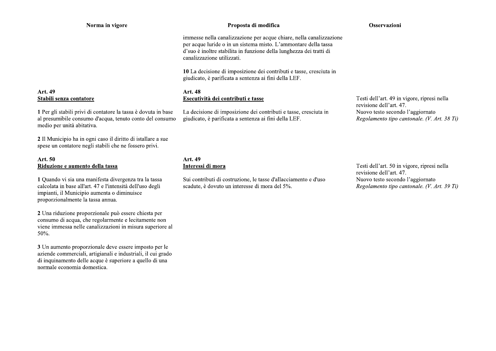# **Art. 49** Stabili senza contatore

1 Per gli stabili privi di contatore la tassa è dovuta in base al presumibile consumo d'acqua, tenuto conto del consumo medio per unità abitativa.

2 Il Municipio ha in ogni caso il diritto di istallare a sue spese un contatore negli stabili che ne fossero privi.

#### Art. 50 Riduzione e aumento della tassa

1 Quando vi sia una manifesta divergenza tra la tassa calcolata in base all'art. 47 e l'intensità dell'uso degli impianti, il Municipio aumenta o diminuisce proporzionalmente la tassa annua.

2 Una riduzione proporzionale può essere chiesta per consumo di acqua, che regolarmente e lecitamente non viene immessa nelle canalizzazioni in misura superiore al 50%.

3 Un aumento proporzionale deve essere imposto per le aziende commerciali, artigianali e industriali, il cui grado di inquinamento delle acque è superiore a quello di una normale economia domestica.

#### Proposta di modifica

Osservazioni

immesse nella canalizzazione per acque chiare, nella canalizzazione per acque luride o in un sistema misto. L'ammontare della tassa d'suo è inoltre stabilita in funzione della lunghezza dei tratti di canalizzazione utilizzati.

10 La decisione di imposizione dei contributi e tasse, cresciuta in giudicato, è parificata a sentenza ai fini della LEF.

#### **Art. 48** Esecutività dei contributi e tasse

La decisione di imposizione dei contributi e tasse, cresciuta in giudicato, è parificata a sentenza ai fini della LEF.

# Art. 49 Interessi di mora

Sui contributi di costruzione, le tasse d'allacciamento e d'uso scadute, è dovuto un interesse di mora del 5%.

Testi dell'art. 49 in vigore, ripresi nella revisione dell'art. 47. Nuovo testo secondo l'aggiornato Regolamento tipo cantonale. (V. Art. 38 Ti)

Testi dell'art. 50 in vigore, ripresi nella revisione dell'art. 47. Nuovo testo secondo l'aggiornato Regolamento tipo cantonale. (V. Art. 39 Ti)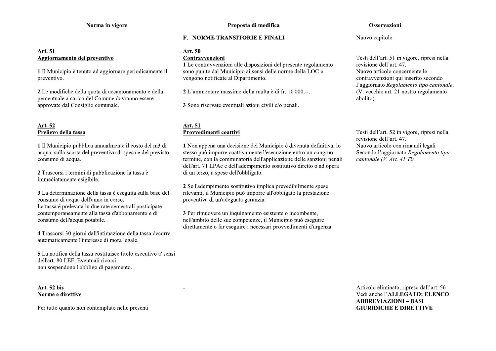# Art. 51 Aggiornamento del preventivo

1 Il Municipio è tenuto ad aggiornare periodicamente il preventivo.

2 Le modifiche della quota di accantonamento e della percentuale a carico del Comune dovranno essere approvate dal Consiglio comunale.

# Art. 52 Prelievo della tassa

1 Il Municipio pubblica annualmente il costo del m3 di acqua, sulla scorta del preventivo di spesa e del previsto consumo di acqua.

2 Trascorsi i termini di pubblicazione la tassa è immediatamente esigibile.

3 La determinazione della tassa è eseguita sulla base del consumo di acqua dell'anno in corso. La tassa è prelevata in due rate semestrali posticipate contemporaneamente alla tassa d'abbonamento e di consumo dell'acqua potabile.

4 Trascorsi 30 giorni dall'intimazione della tassa decorre automaticamente l'interesse di mora legale.

5 La notifica della tassa costituisce titolo esecutivo a' sensi dell'art. 80 LEF. Eventuali ricorsi non sospendono l'obbligo di pagamento.

Art. 52 bis Norme e direttive

Per tutto quanto non contemplato nelle presenti

#### **F. NORME TRANSITORIE E FINALI**

# Art. 50

#### Contravvenzioni

1 Le contravvenzioni alle disposizioni del presente regolamento sono punite dal Municipio ai sensi delle norme della LOC e vengono notificate al Dipartimento.

2 L'ammontare massimo della multa è di fr. 10'000.--.

3 Sono riservate eventuali azioni civili e/o penali.

# Art. 51 Provvedimenti coattivi

1 Non appena una decisione del Municipio è divenuta definitiva, lo stesso può imporre coattivamente l'esecuzione entro un congruo termine, con la comminatoria dell'applicazione delle sanzioni penali dell'art. 71 LPAc e dell'adempimento sostitutivo diretto o ad opera di un terzo, a spese dell'obbligato.

2 Se l'adempimento sostitutivo implica prevedibilmente spese rilevanti, il Municipio può imporre all'obbligato la prestazione preventiva di un'adeguata garanzia.

3 Per rimuovere un inquinamento esistente o incombente, nell'ambito delle sue competenze, il Municipio può eseguire direttamente o far eseguire i necessari provvedimenti d'urgenza.

#### Osservazioni

Nuovo capitolo

Testi dell'art. 51 in vigore, ripresi nella revisione dell'art. 47. Nuovo articolo concernente le contravvenzioni qui inserito secondo l'aggiornato Regolamento tipo cantonale. (V. vecchio art. 21 nostro regolamento abolito)

Testi dell'art. 52 in vigore, ripresi nella revisione dell'art. 47. Nuovo articolo con rimandi legali Secondo l'aggiornato Regolamento tipo cantonale (V. Art. 41 Ti)

Articolo eliminato, ripreso dall'art. 56 Vedi anche l'ALLEGATO: ELENCO **ABBREVIAZIONI - BASI GIURIDICHE E DIRETTIVE**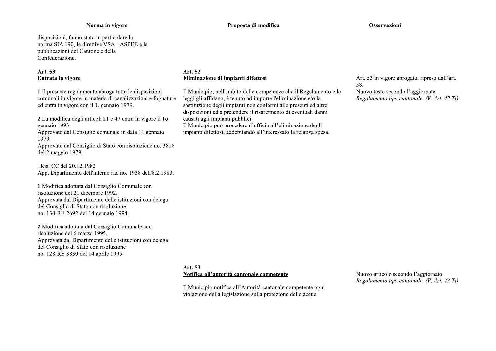disposizioni, fanno stato in particolare la norma SIA 190, le direttive VSA - ASPEE e le pubblicazioni del Cantone e della Confederazione.

# Art. 53 Entrata in vigore

1 Il presente regolamento abroga tutte le disposizioni comunali in vigore in materia di canalizzazioni e fognature ed entra in vigore con il 1. gennaio 1979.

2 La modifica degli articoli 21 e 47 entra in vigore il 10 gennaio 1993.

Approvato dal Consiglio comunale in data 11 gennaio 1979.

Approvato dal Consiglio di Stato con risoluzione no. 3818 del 2 maggio 1979.

1Ris. CC del 20.12.1982 App. Dipartimento dell'interno ris. no. 1938 dell'8.2.1983.

1 Modifica adottata dal Consiglio Comunale con risoluzione del 21 dicembre 1992. Approvata dal Dipartimento delle istituzioni con delega del Consiglio di Stato con risoluzione no. 130-RE-2692 del 14 gennaio 1994.

2 Modifica adottata dal Consiglio Comunale con risoluzione del 6 marzo 1995. Approvata dal Dipartimento delle istituzioni con delega del Consiglio di Stato con risoluzione no. 128-RE-3830 del 14 aprile 1995.

Proposta di modifica

#### Art. 52 Eliminazione di impianti difettosi

Il Municipio, nell'ambito delle competenze che il Regolamento e le leggi gli affidano, è tenuto ad imporre l'eliminazione e/o la sostituzione degli impianti non conformi alle presenti ed altre disposizioni ed a pretendere il risarcimento di eventuali danni causati agli impianti pubblici.

Il Municipio può procedere d'ufficio all'eliminazione degli impianti difettosi, addebitando all'interessato la relativa spesa. Art. 53 in vigore abrogato, ripreso dall'art. 58.

Nuovo testo secondo l'aggiornato Regolamento tipo cantonale. (V. Art. 42 Ti)

# Art. 53 Notifica all'autorità cantonale competente

Il Municipio notifica all'Autorità cantonale competente ogni violazione della legislazione sulla protezione delle acque.

Nuovo articolo secondo l'aggiornato Regolamento tipo cantonale. (V. Art. 43 Ti)

Osservazioni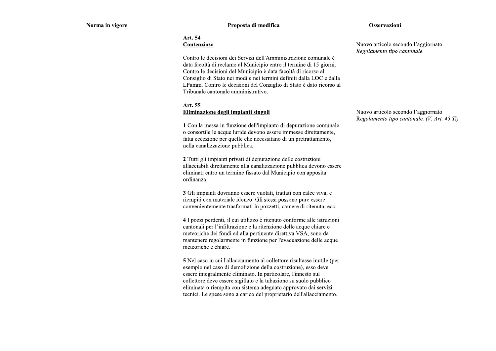#### **Osservazioni**

#### Art. 54 Contenzioso

Contro le decisioni dei Servizi dell'Amministrazione comunale è data facoltà di reclamo al Municipio entro il termine di 15 giorni. Contro le decisioni del Municipio è data facoltà di ricorso al Consiglio di Stato nei modi e nei termini definiti dalla LOC e dalla LPamm. Contro le decisioni del Consiglio di Stato è dato ricorso al Tribunale cantonale amministrativo.

#### Art. 55 Eliminazione degli impianti singoli

1 Con la messa in funzione dell'impianto di depurazione comunale o consortile le acque luride devono essere immesse direttamente, fatta eccezione per quelle che necessitano di un pretrattamento, nella canalizzazione pubblica.

2 Tutti gli impianti privati di depurazione delle costruzioni allacciabili direttamente alla canalizzazione pubblica devono essere eliminati entro un termine fissato dal Municipio con apposita ordinanza.

3 Gli impianti dovranno essere vuotati, trattati con calce viva, e riempiti con materiale idoneo. Gli stessi possono pure essere convenientemente trasformati in pozzetti, camere di ritenuta, ecc.

4 I pozzi perdenti, il cui utilizzo è ritenuto conforme alle istruzioni cantonali per l'infiltrazione e la ritenzione delle acque chiare e meteoriche dei fondi ed alla pertinente direttiva VSA, sono da mantenere regolarmente in funzione per l'evacuazione delle acque meteoriche e chiare.

5 Nel caso in cui l'allacciamento al collettore risultasse inutile (per esempio nel caso di demolizione della costruzione), esso deve essere integralmente eliminato. In particolare, l'innesto sul collettore deve essere sigillato e la tubazione su suolo pubblico eliminata o riempita con sistema adeguato approvato dai servizi tecnici. Le spese sono a carico del proprietario dell'allacciamento.

Nuovo articolo secondo l'aggiornato Regolamento tipo cantonale.

Nuovo articolo secondo l'aggiornato Regolamento tipo cantonale. (V. Art. 45 Ti)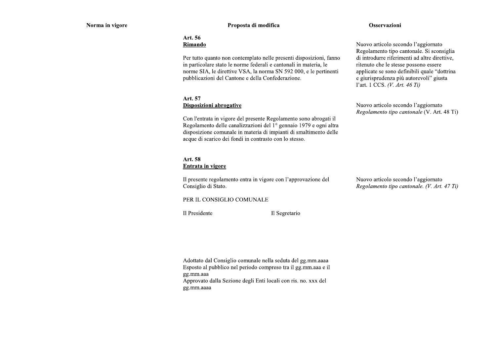# Proposta di modifica

#### Osservazioni

#### Art. 56 Rimando

Per tutto quanto non contemplato nelle presenti disposizioni, fanno in particolare stato le norme federali e cantonali in materia, le norme SIA, le direttive VSA, la norma SN 592 000, e le pertinenti pubblicazioni del Cantone e della Confederazione.

## Art. 57 Disposizioni abrogative

Con l'entrata in vigore del presente Regolamento sono abrogati il Regolamento delle canalizzazioni del 1º gennaio 1979 e ogni altra disposizione comunale in materia di impianti di smaltimento delle acque di scarico dei fondi in contrasto con lo stesso.

# Art. 58 Entrata in vigore

Il presente regolamento entra in vigore con l'approvazione del Consiglio di Stato.

# Nuovo articolo secondo l'aggiornato Regolamento tipo cantonale. (V. Art. 47 Ti)

#### PER IL CONSIGLIO COMUNALE

Il Presidente

Il Segretario

Adottato dal Consiglio comunale nella seduta del gg.mm.aaaa Esposto al pubblico nel periodo compreso tra il gg.mm.aaa e il gg.mm.aaa Approvato dalla Sezione degli Enti locali con ris. no. xxx del gg.mm.aaaa

Nuovo articolo secondo l'aggiornato Regolamento tipo cantonale. Si sconsiglia di introdurre riferimenti ad altre direttive, ritenuto che le stesse possono essere applicate se sono definibili quale "dottrina" e giurisprudenza più autorevoli" giusta l'art. 1 CCS. (V. Art. 46 Ti)

Nuovo articolo secondo l'aggiornato Regolamento tipo cantonale (V. Art. 48 Ti)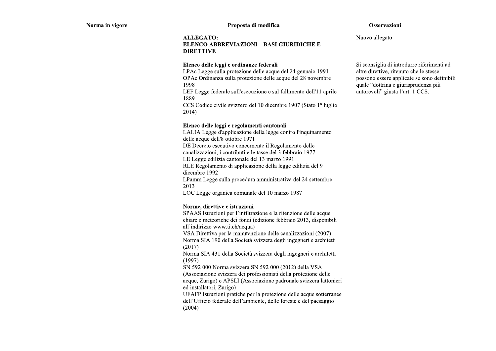#### Proposta di modifica

#### **Osservazioni**

**ALLEGATO:** 

# **ELENCO ABBREVIAZIONI - BASI GIURIDICHE E DIRETTIVE**

#### Elenco delle leggi e ordinanze federali

LPAc Legge sulla protezione delle acque del 24 gennaio 1991 OPAc Ordinanza sulla protezione delle acque del 28 novembre 1998

LEF Legge federale sull'esecuzione e sul fallimento dell'11 aprile 1889

CCS Codice civile svizzero del 10 dicembre 1907 (Stato 1<sup>°</sup> luglio  $2014)$ 

#### Elenco delle leggi e regolamenti cantonali

LALIA Legge d'applicazione della legge contro l'inquinamento delle acque dell'8 ottobre 1971 DE Decreto esecutivo concernente il Regolamento delle

canalizzazioni, i contributi e le tasse del 3 febbraio 1977

LE Legge edilizia cantonale del 13 marzo 1991

RLE Regolamento di applicazione della legge edilizia del 9 dicembre 1992

LPamm Legge sulla procedura amministrativa del 24 settembre 2013

LOC Legge organica comunale del 10 marzo 1987

#### Norme, direttive e istruzioni

SPAAS Istruzioni per l'infiltrazione e la ritenzione delle acque chiare e meteoriche dei fondi (edizione febbraio 2013, disponibili all'indirizzo www.ti.ch/acqua)

VSA Direttiva per la manutenzione delle canalizzazioni (2007) Norma SIA 190 della Società svizzera degli ingegneri e architetti  $(2017)$ 

Norma SIA 431 della Società svizzera degli ingegneri e architetti  $(1997)$ 

SN 592 000 Norma svizzera SN 592 000 (2012) della VSA (Associazione svizzera dei professionisti della protezione delle acque, Zurigo) e APSLI (Associazione padronale svizzera lattonieri ed installatori, Zurigo)

UFAFP Istruzioni pratiche per la protezione delle acque sotterranee dell'Ufficio federale dell'ambiente, delle foreste e del paesaggio  $(2004)$ 

Nuovo allegato

Si sconsiglia di introdurre riferimenti ad altre direttive, ritenuto che le stesse possono essere applicate se sono definibili quale "dottrina e giurisprudenza più autorevoli" giusta l'art. 1 CCS.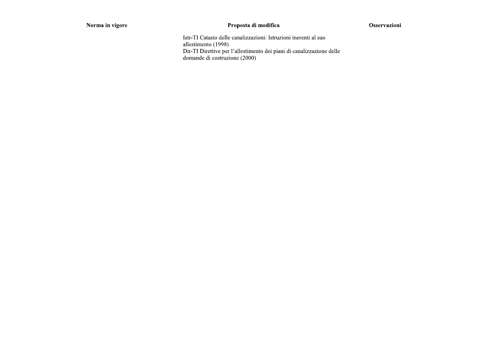# Proposta di modifica

# Osservazioni

Istr-TI Catasto delle canalizzazioni: Istruzioni inerenti al suo allestimento (1998) Dir-TI Direttive per l'allestimento dei piani di canalizzazione delle domande di costruzione (2000)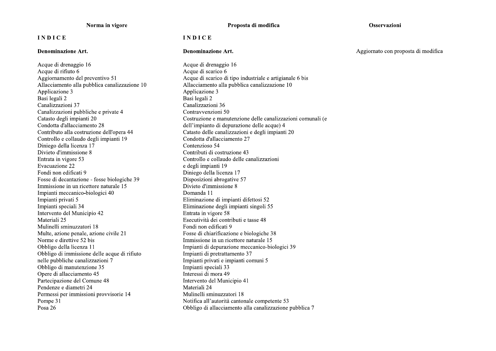# **INDICE**

#### Denominazione Art.

Acque di drenaggio 16 Acque di rifiuto 6 Aggiornamento del preventivo 51 Allacciamento alla pubblica canalizzazione 10 Applicazione 3 Basi legali 2 Canalizzazioni 37 Canalizzazioni pubbliche e private 4 Catasto degli impianti 20 Condotta d'allacciamento 28 Contributo alla costruzione dell'opera 44 Controllo e collaudo degli impianti 19 Diniego della licenza 17 Divieto d'immissione 8 Entrata in vigore 53 Evacuazione 22 Fondi non edificati 9 Fosse di decantazione - fosse biologiche 39 Immissione in un ricettore naturale 15 Impianti meccanico-biologici 40 Impianti privati 5 Impianti speciali 34 Intervento del Municipio 42 Materiali 25 Mulinelli sminuzzatori 18 Multe, azione penale, azione civile 21 Norme e direttive 52 bis Obbligo della licenza 11 Obbligo di immissione delle acque di rifiuto nelle pubbliche canalizzazioni 7 Obbligo di manutenzione 35 Opere di allacciamento 45 Partecipazione del Comune 48 Pendenze e diametri 24 Permessi per immissioni provvisorie 14 Pompe 31 Posa 26

Proposta di modifica

#### **INDICE**

#### Denominazione Art.

Acque di drenaggio 16 Acque di scarico 6 Acque di scarico di tipo industriale e artigianale 6 bis Allacciamento alla pubblica canalizzazione 10 Applicazione 3 Basi legali 2 Canalizzazioni 36 Contravvenzioni 50 Costruzione e manutenzione delle canalizzazioni comunali (e dell'impianto di depurazione delle acque) 4 Catasto delle canalizzazioni e degli impianti 20 Condotta d'allacciamento 27 Contenzioso 54 Contributi di costruzione 43 Controllo e collaudo delle canalizzazioni e degli impianti 19 Diniego della licenza 17 Disposizioni abrogative 57 Divieto d'immissione 8 Domanda 11 Eliminazione di impianti difettosi 52 Eliminazione degli impianti singoli 55 Entrata in vigore 58 Esecutività dei contributi e tasse 48 Fondi non edificati 9 Fosse di chiarificazione e biologiche 38 Immissione in un ricettore naturale 15 Impianti di depurazione meccanico-biologici 39 Impianti di pretrattamento 37 Impianti privati e impianti comuni 5 Impianti speciali 33 Interessi di mora 49 Intervento del Municipio 41 Materiali 24 Mulinelli sminuzzatori 18 Notifica all'autorità cantonale competente 53 Obbligo di allacciamento alla canalizzazione pubblica 7

#### Osservazioni

Aggiornato con proposta di modifica